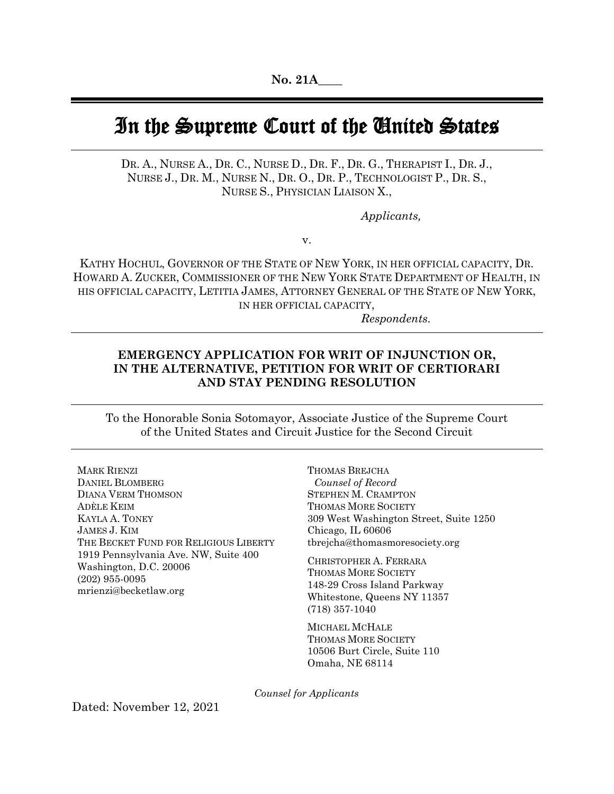# In the Supreme Court of the United States

DR. A., NURSE A., DR. C., NURSE D., DR. F., DR. G., THERAPIST I., DR. J., NURSE J., DR. M., NURSE N., DR. O., DR. P., TECHNOLOGIST P., DR. S., NURSE S., PHYSICIAN LIAISON X.,

*Applicants,*

v.

KATHY HOCHUL, GOVERNOR OF THE STATE OF NEW YORK, IN HER OFFICIAL CAPACITY, DR. HOWARD A. ZUCKER, COMMISSIONER OF THE NEW YORK STATE DEPARTMENT OF HEALTH, IN HIS OFFICIAL CAPACITY, LETITIA JAMES, ATTORNEY GENERAL OF THE STATE OF NEW YORK, IN HER OFFICIAL CAPACITY,

*Respondents*.

## **EMERGENCY APPLICATION FOR WRIT OF INJUNCTION OR, IN THE ALTERNATIVE, PETITION FOR WRIT OF CERTIORARI AND STAY PENDING RESOLUTION**

To the Honorable Sonia Sotomayor, Associate Justice of the Supreme Court of the United States and Circuit Justice for the Second Circuit

MARK RIENZI DANIEL BLOMBERG DIANA VERM THOMSON ADÈLE KEIM KAYLA A. TONEY JAMES J. KIM THE BECKET FUND FOR RELIGIOUS LIBERTY 1919 Pennsylvania Ave. NW, Suite 400 Washington, D.C. 20006 (202) 955-0095 mrienzi@becketlaw.org

THOMAS BREJCHA *Counsel of Record* STEPHEN M. CRAMPTON THOMAS MORE SOCIETY 309 West Washington Street, Suite 1250 Chicago, IL 60606 tbrejcha@thomasmoresociety.org

CHRISTOPHER A. FERRARA THOMAS MORE SOCIETY 148-29 Cross Island Parkway Whitestone, Queens NY 11357 (718) 357-1040

MICHAEL MCHALE THOMAS MORE SOCIETY 10506 Burt Circle, Suite 110 Omaha, NE 68114

*Counsel for Applicants*

Dated: November 12, 2021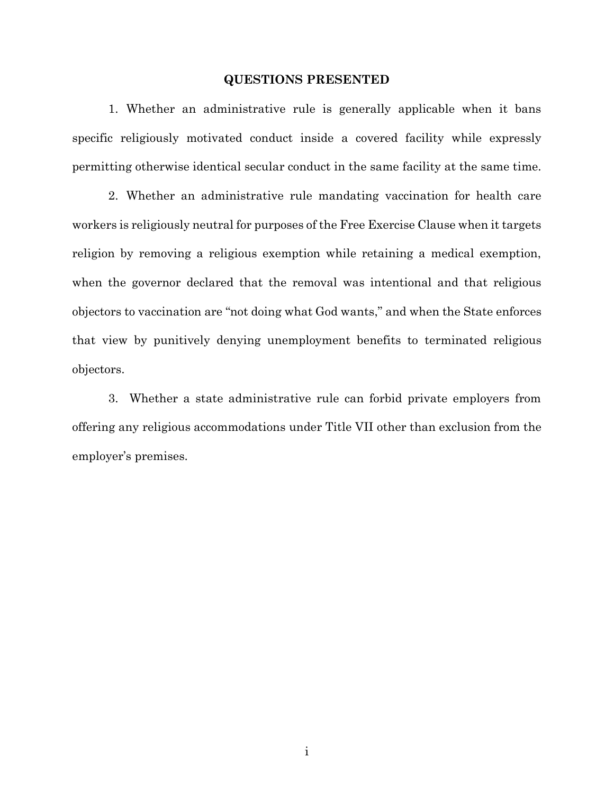## **QUESTIONS PRESENTED**

1. Whether an administrative rule is generally applicable when it bans specific religiously motivated conduct inside a covered facility while expressly permitting otherwise identical secular conduct in the same facility at the same time.

2. Whether an administrative rule mandating vaccination for health care workers is religiously neutral for purposes of the Free Exercise Clause when it targets religion by removing a religious exemption while retaining a medical exemption, when the governor declared that the removal was intentional and that religious objectors to vaccination are "not doing what God wants," and when the State enforces that view by punitively denying unemployment benefits to terminated religious objectors.

3. Whether a state administrative rule can forbid private employers from offering any religious accommodations under Title VII other than exclusion from the employer's premises.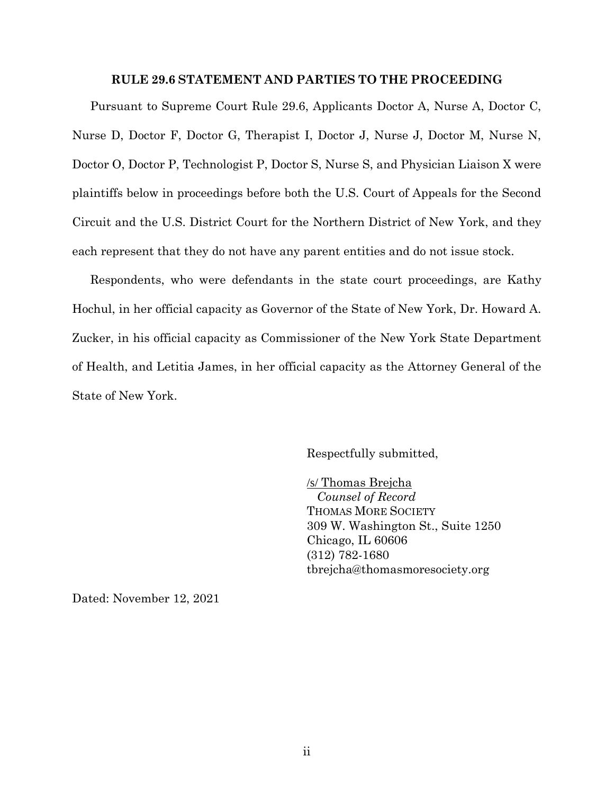#### **RULE 29.6 STATEMENT AND PARTIES TO THE PROCEEDING**

Pursuant to Supreme Court Rule 29.6, Applicants Doctor A, Nurse A, Doctor C, Nurse D, Doctor F, Doctor G, Therapist I, Doctor J, Nurse J, Doctor M, Nurse N, Doctor O, Doctor P, Technologist P, Doctor S, Nurse S, and Physician Liaison X were plaintiffs below in proceedings before both the U.S. Court of Appeals for the Second Circuit and the U.S. District Court for the Northern District of New York, and they each represent that they do not have any parent entities and do not issue stock.

Respondents, who were defendants in the state court proceedings, are Kathy Hochul, in her official capacity as Governor of the State of New York, Dr. Howard A. Zucker, in his official capacity as Commissioner of the New York State Department of Health, and Letitia James, in her official capacity as the Attorney General of the State of New York.

Respectfully submitted,

/s/ Thomas Brejcha *Counsel of Record* THOMAS MORE SOCIETY 309 W. Washington St., Suite 1250 Chicago, IL 60606 (312) 782-1680 tbrejcha@thomasmoresociety.org

Dated: November 12, 2021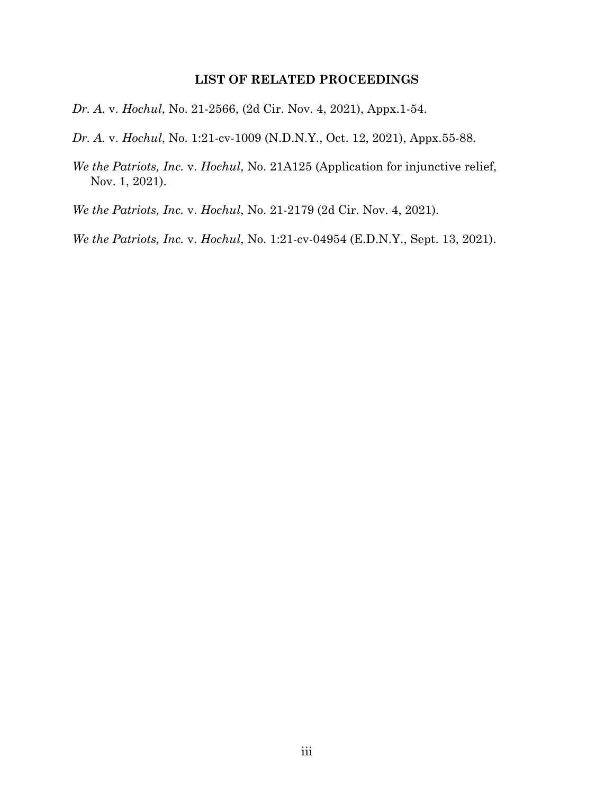## **LIST OF RELATED PROCEEDINGS**

*Dr. A.* v. *Hochul*, No. 21-2566, (2d Cir. Nov. 4, 2021), Appx.1-54.

*Dr. A.* v. *Hochul*, No. 1:21-cv-1009 (N.D.N.Y., Oct. 12, 2021), Appx.55-88.

*We the Patriots, Inc.* v. *Hochul*, No. 21A125 (Application for injunctive relief, Nov. 1, 2021).

*We the Patriots, Inc.* v. *Hochul*, No. 21-2179 (2d Cir. Nov. 4, 2021).

*We the Patriots, Inc.* v. *Hochul*, No. 1:21-cv-04954 (E.D.N.Y., Sept. 13, 2021).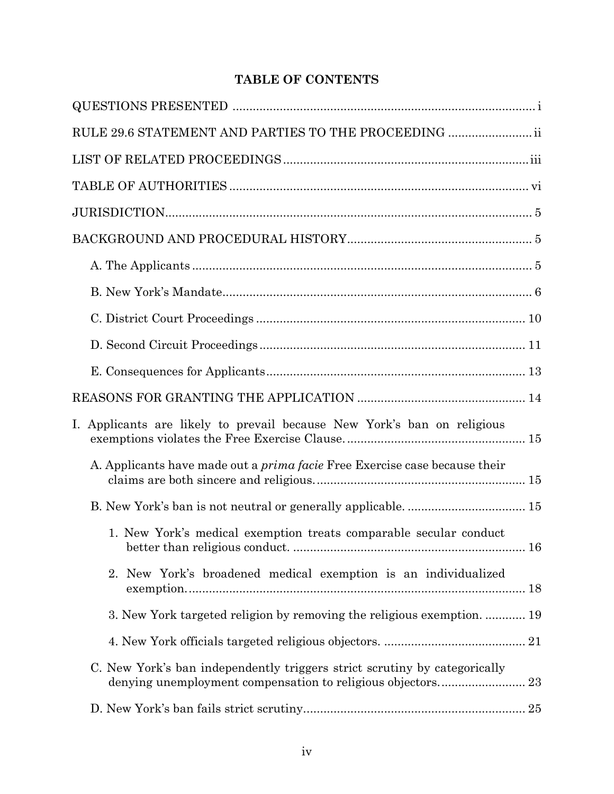# **TABLE OF CONTENTS**

| RULE 29.6 STATEMENT AND PARTIES TO THE PROCEEDING  ii                             |     |
|-----------------------------------------------------------------------------------|-----|
|                                                                                   |     |
|                                                                                   |     |
|                                                                                   |     |
|                                                                                   |     |
|                                                                                   |     |
|                                                                                   |     |
|                                                                                   |     |
|                                                                                   |     |
|                                                                                   |     |
|                                                                                   |     |
| I. Applicants are likely to prevail because New York's ban on religious           |     |
| A. Applicants have made out a <i>prima facie</i> Free Exercise case because their |     |
|                                                                                   |     |
| 1. New York's medical exemption treats comparable secular conduct                 | .16 |
| 2. New York's broadened medical exemption is an individualized                    |     |
| 3. New York targeted religion by removing the religious exemption.  19            |     |
|                                                                                   |     |
| C. New York's ban independently triggers strict scrutiny by categorically         |     |
|                                                                                   |     |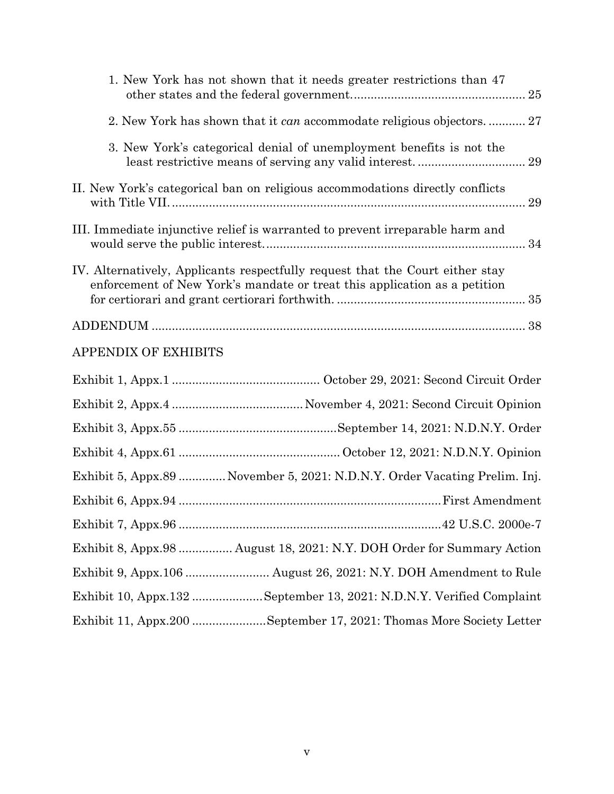| 1. New York has not shown that it needs greater restrictions than 47<br>25                                                                                 |
|------------------------------------------------------------------------------------------------------------------------------------------------------------|
| 2. New York has shown that it can accommodate religious objectors.  27                                                                                     |
| 3. New York's categorical denial of unemployment benefits is not the<br>29                                                                                 |
| II. New York's categorical ban on religious accommodations directly conflicts<br>29                                                                        |
| III. Immediate injunctive relief is warranted to prevent irreparable harm and<br>34                                                                        |
| IV. Alternatively, Applicants respectfully request that the Court either stay<br>enforcement of New York's mandate or treat this application as a petition |
|                                                                                                                                                            |
| <b>APPENDIX OF EXHIBITS</b>                                                                                                                                |
|                                                                                                                                                            |
|                                                                                                                                                            |
|                                                                                                                                                            |
|                                                                                                                                                            |
| Exhibit 5, Appx.89  November 5, 2021: N.D.N.Y. Order Vacating Prelim. Inj.                                                                                 |
|                                                                                                                                                            |
|                                                                                                                                                            |
| Exhibit 8, Appx.98  August 18, 2021: N.Y. DOH Order for Summary Action                                                                                     |
| Exhibit 9, Appx.106  August 26, 2021: N.Y. DOH Amendment to Rule                                                                                           |
| Exhibit 10, Appx.132 September 13, 2021: N.D.N.Y. Verified Complaint                                                                                       |
| Exhibit 11, Appx.200 September 17, 2021: Thomas More Society Letter                                                                                        |
|                                                                                                                                                            |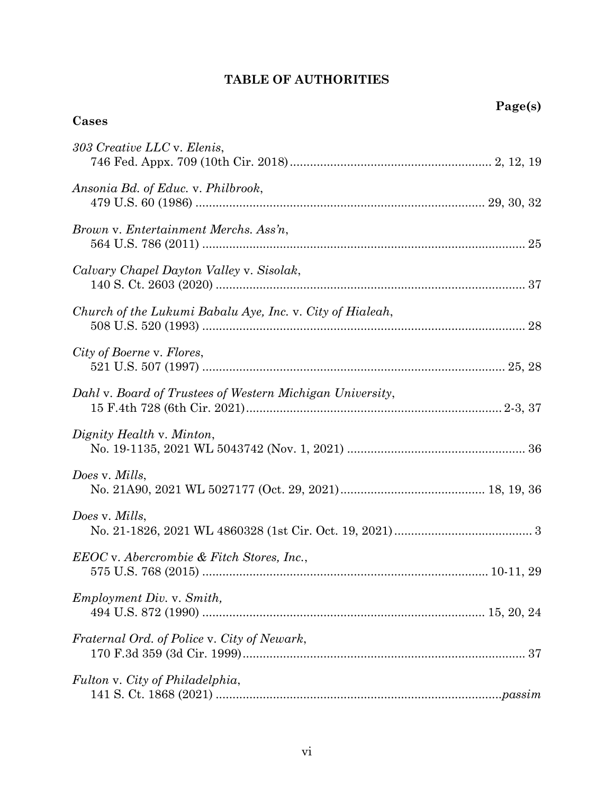## **TABLE OF AUTHORITIES**

**Cases**

| 303 Creative LLC v. Elenis,                               |
|-----------------------------------------------------------|
| Ansonia Bd. of Educ. v. Philbrook,                        |
| Brown v. Entertainment Merchs. Ass'n,                     |
| Calvary Chapel Dayton Valley v. Sisolak,                  |
| Church of the Lukumi Babalu Aye, Inc. v. City of Hialeah, |
| City of Boerne v. Flores,                                 |
| Dahl v. Board of Trustees of Western Michigan University, |
| Dignity Health v. Minton,                                 |
| Does v. Mills,                                            |
| Does v. Mills,                                            |
| EEOC v. Abercrombie & Fitch Stores, Inc.,                 |
| <i>Employment Div. v. Smith,</i>                          |
| Fraternal Ord. of Police v. City of Newark,               |
| Fulton v. City of Philadelphia,                           |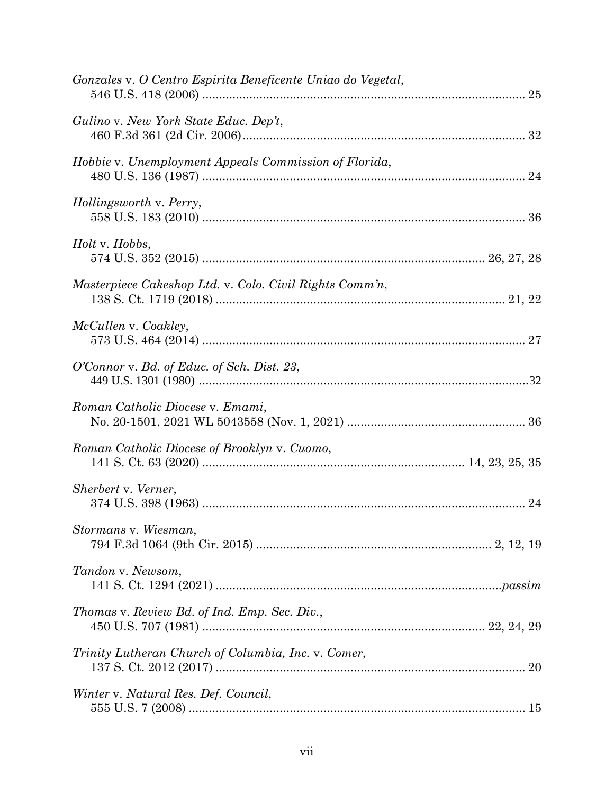| Gonzales v. O Centro Espirita Beneficente Uniao do Vegetal, |  |
|-------------------------------------------------------------|--|
| Gulino v. New York State Educ. Dep't,                       |  |
| Hobbie v. Unemployment Appeals Commission of Florida,       |  |
| Hollingsworth v. Perry,                                     |  |
| <i>Holt</i> v. <i>Hobbs</i> ,                               |  |
| Masterpiece Cakeshop Ltd. v. Colo. Civil Rights Comm'n,     |  |
| McCullen v. Coakley,                                        |  |
| O'Connor v. Bd. of Educ. of Sch. Dist. 23,                  |  |
| Roman Catholic Diocese v. Emami,                            |  |
| Roman Catholic Diocese of Brooklyn v. Cuomo,                |  |
| Sherbert v. Verner,                                         |  |
| Stormans v. Wiesman,                                        |  |
| Tandon v. Newsom,                                           |  |
| Thomas v. Review Bd. of Ind. Emp. Sec. Div.,                |  |
| Trinity Lutheran Church of Columbia, Inc. v. Comer,         |  |
| Winter v. Natural Res. Def. Council,                        |  |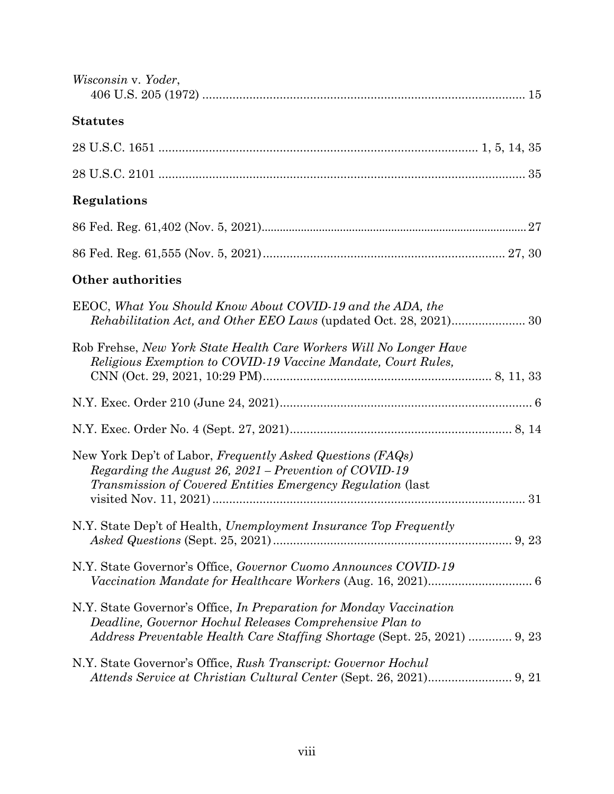| Wisconsin v. Yoder,                                                                                                                                                                                                 |  |
|---------------------------------------------------------------------------------------------------------------------------------------------------------------------------------------------------------------------|--|
| <b>Statutes</b>                                                                                                                                                                                                     |  |
|                                                                                                                                                                                                                     |  |
|                                                                                                                                                                                                                     |  |
| Regulations                                                                                                                                                                                                         |  |
|                                                                                                                                                                                                                     |  |
|                                                                                                                                                                                                                     |  |
| <b>Other authorities</b>                                                                                                                                                                                            |  |
| EEOC, What You Should Know About COVID-19 and the ADA, the                                                                                                                                                          |  |
| Rob Frehse, New York State Health Care Workers Will No Longer Have<br>Religious Exemption to COVID-19 Vaccine Mandate, Court Rules,                                                                                 |  |
|                                                                                                                                                                                                                     |  |
|                                                                                                                                                                                                                     |  |
| New York Dep't of Labor, Frequently Asked Questions (FAQs)<br>Regarding the August 26, 2021 – Prevention of COVID-19<br><i>Transmission of Covered Entities Emergency Regulation (last</i>                          |  |
| N.Y. State Dep't of Health, Unemployment Insurance Top Frequently                                                                                                                                                   |  |
| N.Y. State Governor's Office, Governor Cuomo Announces COVID-19                                                                                                                                                     |  |
| N.Y. State Governor's Office, <i>In Preparation for Monday Vaccination</i><br>Deadline, Governor Hochul Releases Comprehensive Plan to<br>Address Preventable Health Care Staffing Shortage (Sept. 25, 2021)  9, 23 |  |
| N.Y. State Governor's Office, Rush Transcript: Governor Hochul                                                                                                                                                      |  |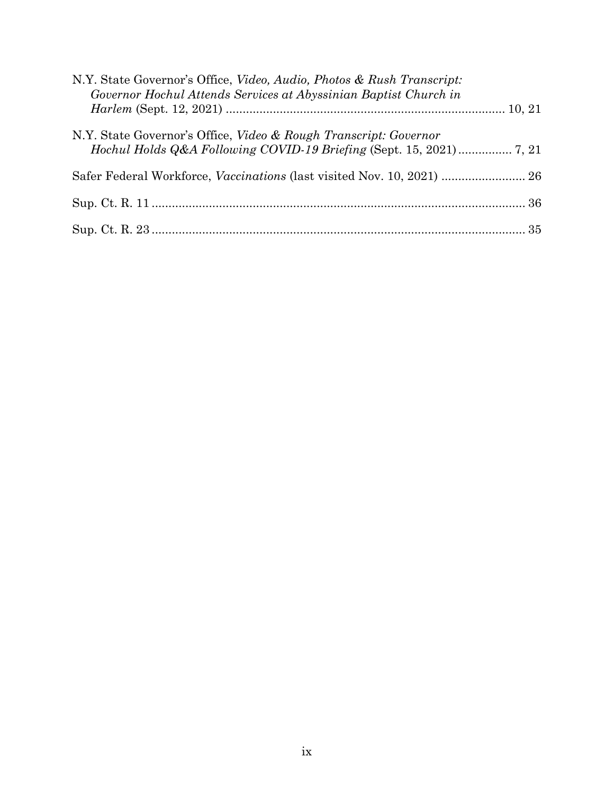| N.Y. State Governor's Office, Video, Audio, Photos & Rush Transcript:<br>Governor Hochul Attends Services at Abyssinian Baptist Church in |  |
|-------------------------------------------------------------------------------------------------------------------------------------------|--|
|                                                                                                                                           |  |
| N.Y. State Governor's Office, <i>Video &amp; Rough Transcript: Governor</i>                                                               |  |
| Safer Federal Workforce, Vaccinations (last visited Nov. 10, 2021)  26                                                                    |  |
|                                                                                                                                           |  |
|                                                                                                                                           |  |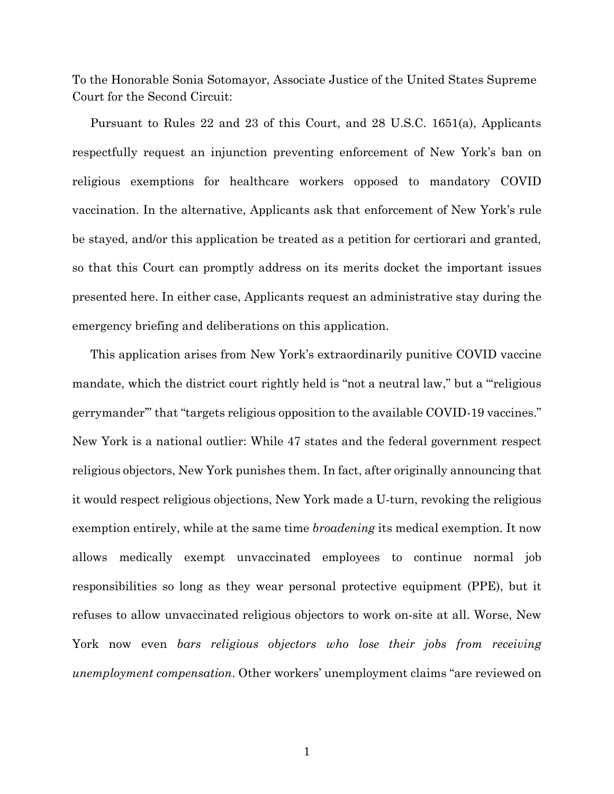To the Honorable Sonia Sotomayor, Associate Justice of the United States Supreme Court for the Second Circuit:

Pursuant to Rules 22 and 23 of this Court, and 28 U.S.C. 1651(a), Applicants respectfully request an injunction preventing enforcement of New York's ban on religious exemptions for healthcare workers opposed to mandatory COVID vaccination. In the alternative, Applicants ask that enforcement of New York's rule be stayed, and/or this application be treated as a petition for certiorari and granted, so that this Court can promptly address on its merits docket the important issues presented here. In either case, Applicants request an administrative stay during the emergency briefing and deliberations on this application.

This application arises from New York's extraordinarily punitive COVID vaccine mandate, which the district court rightly held is "not a neutral law," but a "'religious gerrymander'" that "targets religious opposition to the available COVID-19 vaccines." New York is a national outlier: While 47 states and the federal government respect religious objectors, New York punishes them. In fact, after originally announcing that it would respect religious objections, New York made a U-turn, revoking the religious exemption entirely, while at the same time *broadening* its medical exemption. It now allows medically exempt unvaccinated employees to continue normal job responsibilities so long as they wear personal protective equipment (PPE), but it refuses to allow unvaccinated religious objectors to work on-site at all. Worse, New York now even *bars religious objectors who lose their jobs from receiving unemployment compensation*. Other workers' unemployment claims "are reviewed on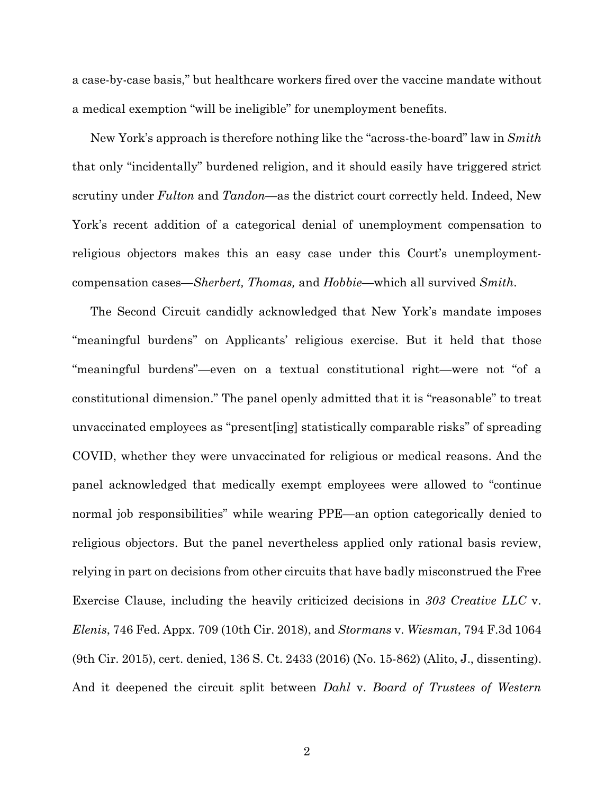a case-by-case basis," but healthcare workers fired over the vaccine mandate without a medical exemption "will be ineligible" for unemployment benefits.

New York's approach is therefore nothing like the "across-the-board" law in *Smith* that only "incidentally" burdened religion, and it should easily have triggered strict scrutiny under *Fulton* and *Tandon*—as the district court correctly held. Indeed, New York's recent addition of a categorical denial of unemployment compensation to religious objectors makes this an easy case under this Court's unemploymentcompensation cases—*Sherbert, Thomas,* and *Hobbie—*which all survived *Smith*.

The Second Circuit candidly acknowledged that New York's mandate imposes "meaningful burdens" on Applicants' religious exercise. But it held that those "meaningful burdens"—even on a textual constitutional right—were not "of a constitutional dimension." The panel openly admitted that it is "reasonable" to treat unvaccinated employees as "present[ing] statistically comparable risks" of spreading COVID, whether they were unvaccinated for religious or medical reasons. And the panel acknowledged that medically exempt employees were allowed to "continue normal job responsibilities" while wearing PPE—an option categorically denied to religious objectors. But the panel nevertheless applied only rational basis review, relying in part on decisions from other circuits that have badly misconstrued the Free Exercise Clause, including the heavily criticized decisions in *303 Creative LLC* v. *Elenis*, 746 Fed. Appx. 709 (10th Cir. 2018), and *Stormans* v. *Wiesman*, 794 F.3d 1064 (9th Cir. 2015), cert. denied, 136 S. Ct. 2433 (2016) (No. 15-862) (Alito, J., dissenting). And it deepened the circuit split between *Dahl* v. *Board of Trustees of Western*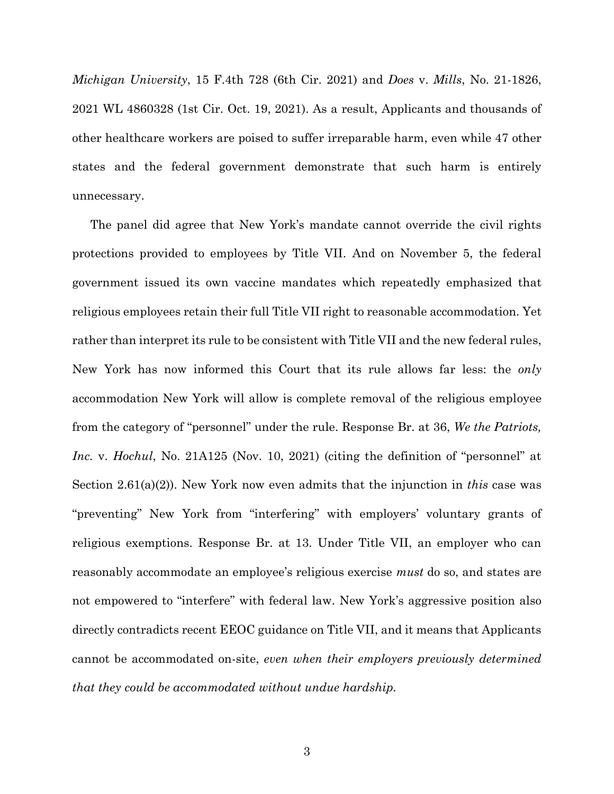*Michigan University*, 15 F.4th 728 (6th Cir. 2021) and *Does* v. *Mills*, No. 21-1826, 2021 WL 4860328 (1st Cir. Oct. 19, 2021). As a result, Applicants and thousands of other healthcare workers are poised to suffer irreparable harm, even while 47 other states and the federal government demonstrate that such harm is entirely unnecessary.

The panel did agree that New York's mandate cannot override the civil rights protections provided to employees by Title VII. And on November 5, the federal government issued its own vaccine mandates which repeatedly emphasized that religious employees retain their full Title VII right to reasonable accommodation. Yet rather than interpret its rule to be consistent with Title VII and the new federal rules, New York has now informed this Court that its rule allows far less: the *only* accommodation New York will allow is complete removal of the religious employee from the category of "personnel" under the rule. Response Br. at 36, *We the Patriots, Inc.* v. *Hochul*, No. 21A125 (Nov. 10, 2021) (citing the definition of "personnel" at Section 2.61(a)(2)). New York now even admits that the injunction in *this* case was "preventing" New York from "interfering" with employers' voluntary grants of religious exemptions. Response Br. at 13. Under Title VII, an employer who can reasonably accommodate an employee's religious exercise *must* do so, and states are not empowered to "interfere" with federal law. New York's aggressive position also directly contradicts recent EEOC guidance on Title VII, and it means that Applicants cannot be accommodated on-site, *even when their employers previously determined that they could be accommodated without undue hardship.*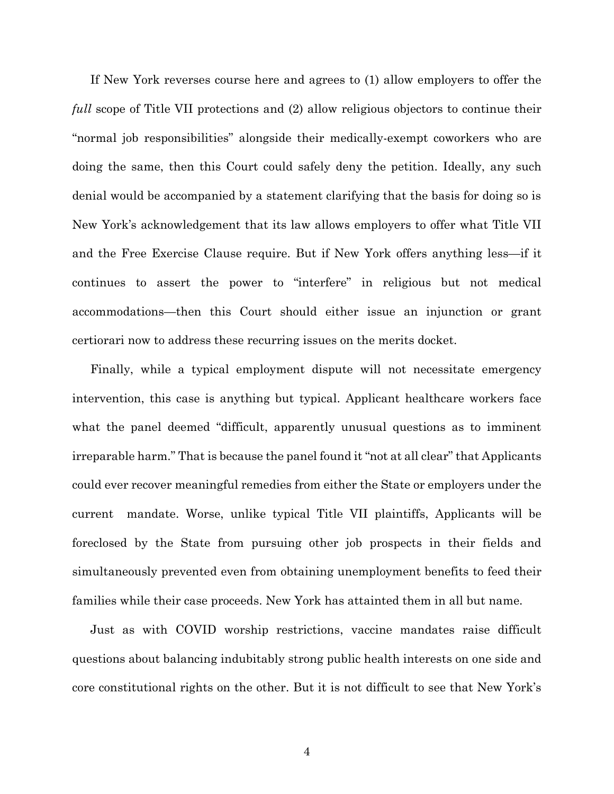If New York reverses course here and agrees to (1) allow employers to offer the *full* scope of Title VII protections and (2) allow religious objectors to continue their "normal job responsibilities" alongside their medically-exempt coworkers who are doing the same, then this Court could safely deny the petition. Ideally, any such denial would be accompanied by a statement clarifying that the basis for doing so is New York's acknowledgement that its law allows employers to offer what Title VII and the Free Exercise Clause require. But if New York offers anything less—if it continues to assert the power to "interfere" in religious but not medical accommodations—then this Court should either issue an injunction or grant certiorari now to address these recurring issues on the merits docket.

Finally, while a typical employment dispute will not necessitate emergency intervention, this case is anything but typical. Applicant healthcare workers face what the panel deemed "difficult, apparently unusual questions as to imminent irreparable harm." That is because the panel found it "not at all clear" that Applicants could ever recover meaningful remedies from either the State or employers under the current mandate. Worse, unlike typical Title VII plaintiffs, Applicants will be foreclosed by the State from pursuing other job prospects in their fields and simultaneously prevented even from obtaining unemployment benefits to feed their families while their case proceeds. New York has attainted them in all but name.

Just as with COVID worship restrictions, vaccine mandates raise difficult questions about balancing indubitably strong public health interests on one side and core constitutional rights on the other. But it is not difficult to see that New York's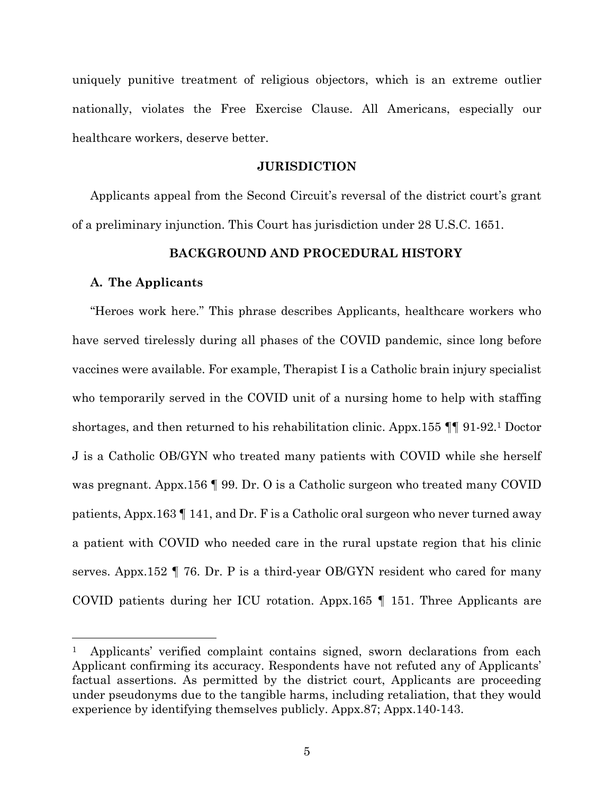uniquely punitive treatment of religious objectors, which is an extreme outlier nationally, violates the Free Exercise Clause. All Americans, especially our healthcare workers, deserve better.

#### **JURISDICTION**

Applicants appeal from the Second Circuit's reversal of the district court's grant of a preliminary injunction. This Court has jurisdiction under 28 U.S.C. 1651.

## **BACKGROUND AND PROCEDURAL HISTORY**

#### **A. The Applicants**

"Heroes work here." This phrase describes Applicants, healthcare workers who have served tirelessly during all phases of the COVID pandemic, since long before vaccines were available. For example, Therapist I is a Catholic brain injury specialist who temporarily served in the COVID unit of a nursing home to help with staffing shortages, and then returned to his rehabilitation clinic. Appx.155 ¶¶ 91-92.<sup>1</sup> Doctor J is a Catholic OB/GYN who treated many patients with COVID while she herself was pregnant. Appx.156 ¶ 99. Dr. O is a Catholic surgeon who treated many COVID patients, Appx.163 ¶ 141, and Dr. F is a Catholic oral surgeon who never turned away a patient with COVID who needed care in the rural upstate region that his clinic serves. Appx.152 ¶ 76. Dr. P is a third-year OB/GYN resident who cared for many COVID patients during her ICU rotation. Appx.165 ¶ 151. Three Applicants are

<sup>1</sup> Applicants' verified complaint contains signed, sworn declarations from each Applicant confirming its accuracy. Respondents have not refuted any of Applicants' factual assertions. As permitted by the district court, Applicants are proceeding under pseudonyms due to the tangible harms, including retaliation, that they would experience by identifying themselves publicly. Appx.87; Appx.140-143.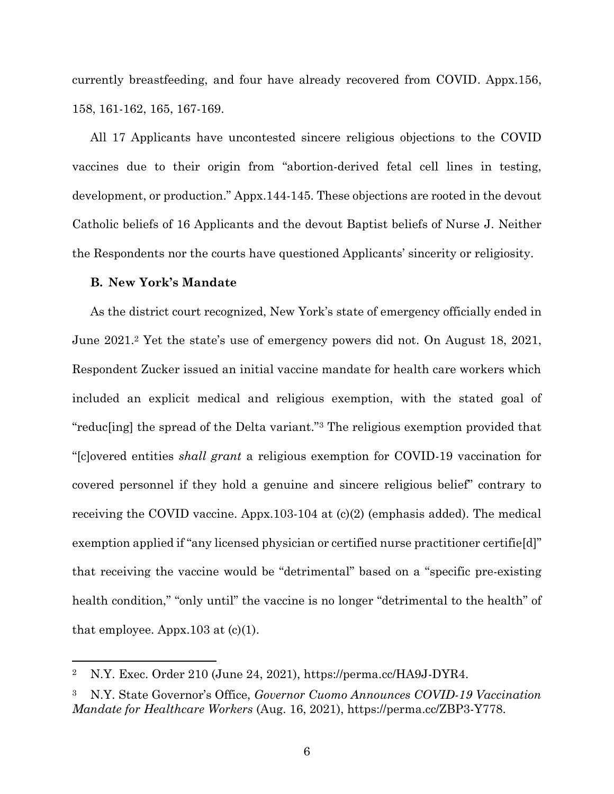currently breastfeeding, and four have already recovered from COVID. Appx.156, 158, 161-162, 165, 167-169.

All 17 Applicants have uncontested sincere religious objections to the COVID vaccines due to their origin from "abortion-derived fetal cell lines in testing, development, or production." Appx.144-145. These objections are rooted in the devout Catholic beliefs of 16 Applicants and the devout Baptist beliefs of Nurse J. Neither the Respondents nor the courts have questioned Applicants' sincerity or religiosity.

#### **B. New York's Mandate**

As the district court recognized, New York's state of emergency officially ended in June 2021.<sup>2</sup> Yet the state's use of emergency powers did not. On August 18, 2021, Respondent Zucker issued an initial vaccine mandate for health care workers which included an explicit medical and religious exemption, with the stated goal of "reduc[ing] the spread of the Delta variant." <sup>3</sup> The religious exemption provided that "[c]overed entities *shall grant* a religious exemption for COVID-19 vaccination for covered personnel if they hold a genuine and sincere religious belief" contrary to receiving the COVID vaccine. Appx.103-104 at  $(c)(2)$  (emphasis added). The medical exemption applied if "any licensed physician or certified nurse practitioner certifie[d]" that receiving the vaccine would be "detrimental" based on a "specific pre-existing health condition," "only until" the vaccine is no longer "detrimental to the health" of that employee. Appx. 103 at  $(c)(1)$ .

<sup>2</sup> N.Y. Exec. Order 210 (June 24, 2021), https://perma.cc/HA9J-DYR4.

<sup>3</sup> N.Y. State Governor's Office, *Governor Cuomo Announces COVID-19 Vaccination Mandate for Healthcare Workers* (Aug. 16, 2021), https://perma.cc/ZBP3-Y778.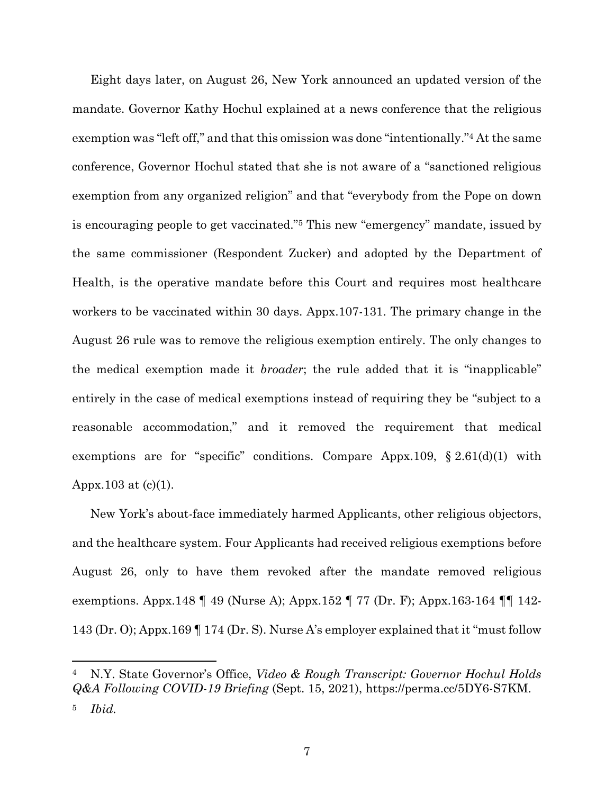Eight days later, on August 26, New York announced an updated version of the mandate. Governor Kathy Hochul explained at a news conference that the religious exemption was "left off," and that this omission was done "intentionally."<sup>4</sup> At the same conference, Governor Hochul stated that she is not aware of a "sanctioned religious exemption from any organized religion" and that "everybody from the Pope on down is encouraging people to get vaccinated."<sup>5</sup> This new "emergency" mandate, issued by the same commissioner (Respondent Zucker) and adopted by the Department of Health, is the operative mandate before this Court and requires most healthcare workers to be vaccinated within 30 days. Appx.107-131. The primary change in the August 26 rule was to remove the religious exemption entirely. The only changes to the medical exemption made it *broader*; the rule added that it is "inapplicable" entirely in the case of medical exemptions instead of requiring they be "subject to a reasonable accommodation," and it removed the requirement that medical exemptions are for "specific" conditions. Compare Appx.109, § 2.61(d)(1) with Appx.103 at  $(c)(1)$ .

New York's about-face immediately harmed Applicants, other religious objectors, and the healthcare system. Four Applicants had received religious exemptions before August 26, only to have them revoked after the mandate removed religious exemptions. Appx.148 ¶ 49 (Nurse A); Appx.152 ¶ 77 (Dr. F); Appx.163-164 ¶¶ 142- 143 (Dr. O); Appx.169 ¶ 174 (Dr. S). Nurse A's employer explained that it "must follow

<sup>4</sup> N.Y. State Governor's Office, *Video & Rough Transcript: Governor Hochul Holds Q&A Following COVID-19 Briefing* (Sept. 15, 2021), https://perma.cc/5DY6-S7KM. <sup>5</sup> *Ibid.*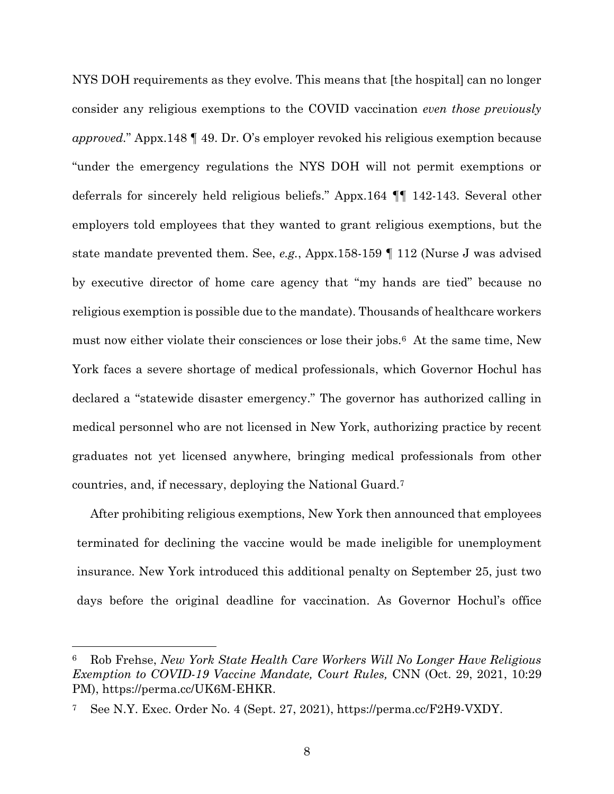NYS DOH requirements as they evolve. This means that [the hospital] can no longer consider any religious exemptions to the COVID vaccination *even those previously approved.*" Appx.148 ¶ 49. Dr. O's employer revoked his religious exemption because "under the emergency regulations the NYS DOH will not permit exemptions or deferrals for sincerely held religious beliefs." Appx.164 ¶¶ 142-143. Several other employers told employees that they wanted to grant religious exemptions, but the state mandate prevented them. See, *e.g.*, Appx.158-159 ¶ 112 (Nurse J was advised by executive director of home care agency that "my hands are tied" because no religious exemption is possible due to the mandate). Thousands of healthcare workers must now either violate their consciences or lose their jobs.<sup>6</sup> At the same time, New York faces a severe shortage of medical professionals, which Governor Hochul has declared a "statewide disaster emergency." The governor has authorized calling in medical personnel who are not licensed in New York, authorizing practice by recent graduates not yet licensed anywhere, bringing medical professionals from other countries, and, if necessary, deploying the National Guard.<sup>7</sup>

After prohibiting religious exemptions, New York then announced that employees terminated for declining the vaccine would be made ineligible for unemployment insurance. New York introduced this additional penalty on September 25, just two days before the original deadline for vaccination. As Governor Hochul's office

<sup>6</sup> Rob Frehse, *New York State Health Care Workers Will No Longer Have Religious Exemption to COVID-19 Vaccine Mandate, Court Rules,* CNN (Oct. 29, 2021, 10:29 PM), https://perma.cc/UK6M-EHKR.

See N.Y. Exec. Order No. 4 (Sept. 27, 2021), https://perma.cc/F2H9-VXDY.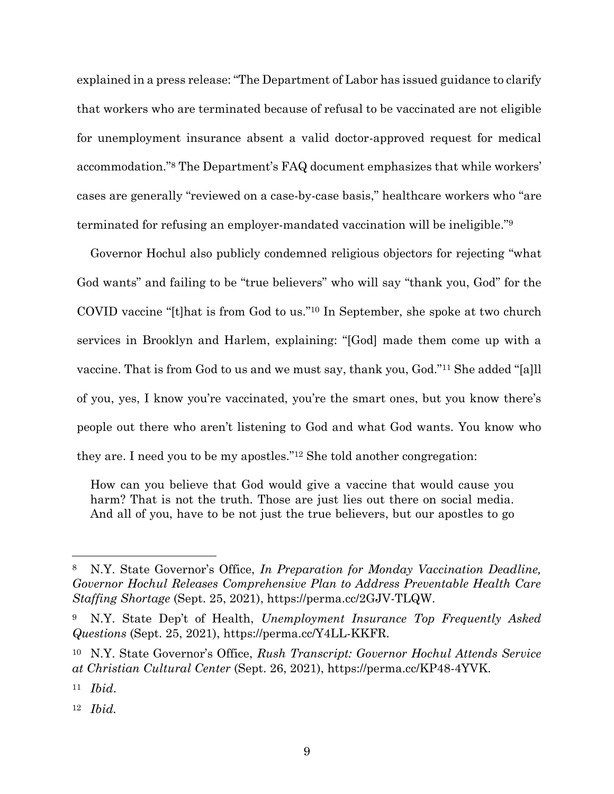explained in a press release: "The Department of Labor has issued guidance to clarify that workers who are terminated because of refusal to be vaccinated are not eligible for unemployment insurance absent a valid doctor-approved request for medical accommodation."<sup>8</sup> The Department's FAQ document emphasizes that while workers' cases are generally "reviewed on a case-by-case basis," healthcare workers who "are terminated for refusing an employer-mandated vaccination will be ineligible."<sup>9</sup>

Governor Hochul also publicly condemned religious objectors for rejecting "what God wants" and failing to be "true believers" who will say "thank you, God" for the COVID vaccine "[t]hat is from God to us." <sup>10</sup> In September, she spoke at two church services in Brooklyn and Harlem, explaining: "[God] made them come up with a vaccine. That is from God to us and we must say, thank you, God."<sup>11</sup> She added "[a]ll of you, yes, I know you're vaccinated, you're the smart ones, but you know there's people out there who aren't listening to God and what God wants. You know who they are. I need you to be my apostles."<sup>12</sup> She told another congregation:

How can you believe that God would give a vaccine that would cause you harm? That is not the truth. Those are just lies out there on social media. And all of you, have to be not just the true believers, but our apostles to go

<sup>8</sup> N.Y. State Governor's Office, *In Preparation for Monday Vaccination Deadline, Governor Hochul Releases Comprehensive Plan to Address Preventable Health Care Staffing Shortage* (Sept. 25, 2021), https://perma.cc/2GJV-TLQW.

<sup>9</sup> N.Y. State Dep't of Health, *Unemployment Insurance Top Frequently Asked Questions* (Sept. 25, 2021), https://perma.cc/Y4LL-KKFR.

<sup>10</sup> N.Y. State Governor's Office, *Rush Transcript: Governor Hochul Attends Service at Christian Cultural Center* (Sept. 26, 2021), https://perma.cc/KP48-4YVK.

<sup>11</sup> *Ibid*.

<sup>12</sup> *Ibid.*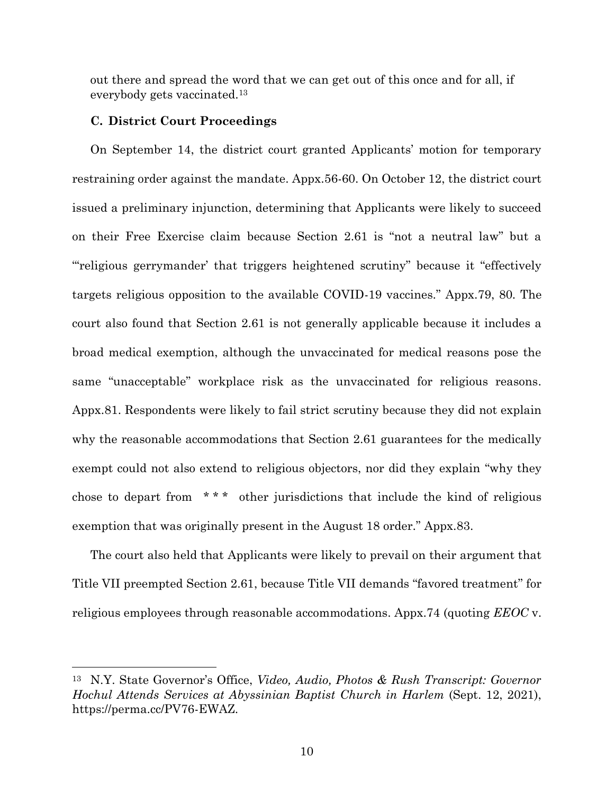out there and spread the word that we can get out of this once and for all, if everybody gets vaccinated.<sup>13</sup>

#### **C. District Court Proceedings**

On September 14, the district court granted Applicants' motion for temporary restraining order against the mandate. Appx.56-60. On October 12, the district court issued a preliminary injunction, determining that Applicants were likely to succeed on their Free Exercise claim because Section 2.61 is "not a neutral law" but a "'religious gerrymander' that triggers heightened scrutiny" because it "effectively targets religious opposition to the available COVID-19 vaccines." Appx.79, 80*.* The court also found that Section 2.61 is not generally applicable because it includes a broad medical exemption, although the unvaccinated for medical reasons pose the same "unacceptable" workplace risk as the unvaccinated for religious reasons. Appx.81. Respondents were likely to fail strict scrutiny because they did not explain why the reasonable accommodations that Section 2.61 guarantees for the medically exempt could not also extend to religious objectors, nor did they explain "why they chose to depart from \* \* \* other jurisdictions that include the kind of religious exemption that was originally present in the August 18 order." Appx.83.

The court also held that Applicants were likely to prevail on their argument that Title VII preempted Section 2.61, because Title VII demands "favored treatment" for religious employees through reasonable accommodations. Appx.74 (quoting *EEOC* v.

<sup>13</sup> N.Y. State Governor's Office, *Video, Audio, Photos & Rush Transcript: Governor Hochul Attends Services at Abyssinian Baptist Church in Harlem* (Sept. 12, 2021), https://perma.cc/PV76-EWAZ.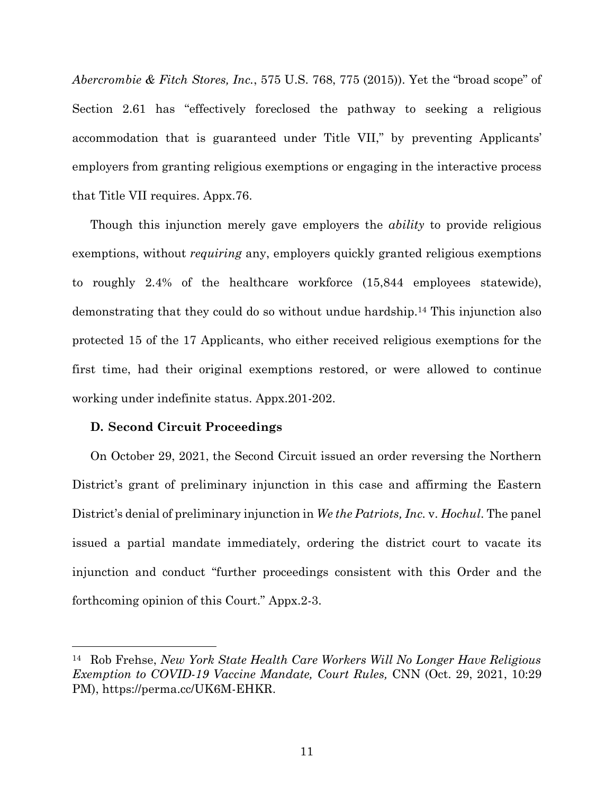*Abercrombie & Fitch Stores, Inc.*, 575 U.S. 768, 775 (2015)). Yet the "broad scope" of Section 2.61 has "effectively foreclosed the pathway to seeking a religious accommodation that is guaranteed under Title VII," by preventing Applicants' employers from granting religious exemptions or engaging in the interactive process that Title VII requires. Appx.76.

Though this injunction merely gave employers the *ability* to provide religious exemptions, without *requiring* any, employers quickly granted religious exemptions to roughly 2.4% of the healthcare workforce (15,844 employees statewide), demonstrating that they could do so without undue hardship.<sup>14</sup> This injunction also protected 15 of the 17 Applicants, who either received religious exemptions for the first time, had their original exemptions restored, or were allowed to continue working under indefinite status. Appx.201-202.

## **D. Second Circuit Proceedings**

On October 29, 2021, the Second Circuit issued an order reversing the Northern District's grant of preliminary injunction in this case and affirming the Eastern District's denial of preliminary injunction in *We the Patriots, Inc.* v. *Hochul*. The panel issued a partial mandate immediately, ordering the district court to vacate its injunction and conduct "further proceedings consistent with this Order and the forthcoming opinion of this Court." Appx.2-3.

<sup>14</sup> Rob Frehse, *New York State Health Care Workers Will No Longer Have Religious Exemption to COVID-19 Vaccine Mandate, Court Rules,* CNN (Oct. 29, 2021, 10:29 PM), https://perma.cc/UK6M-EHKR.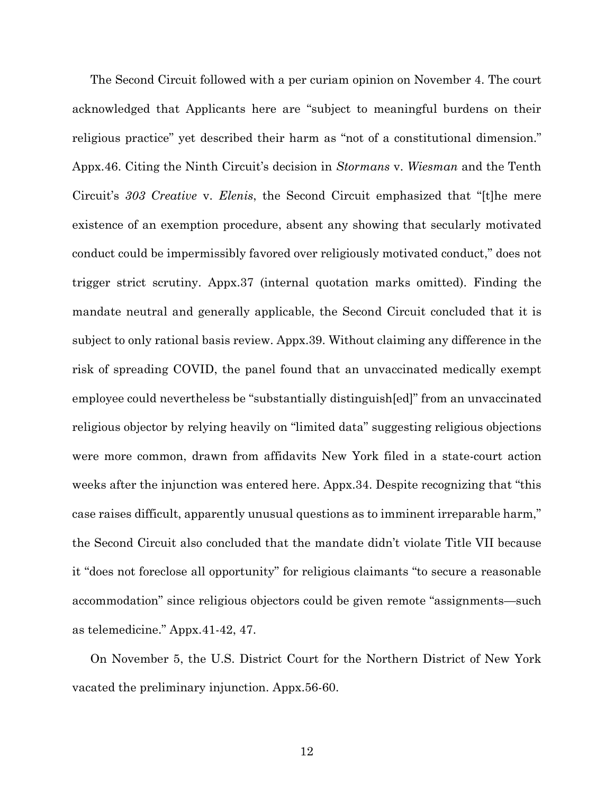The Second Circuit followed with a per curiam opinion on November 4. The court acknowledged that Applicants here are "subject to meaningful burdens on their religious practice" yet described their harm as "not of a constitutional dimension." Appx.46. Citing the Ninth Circuit's decision in *Stormans* v. *Wiesman* and the Tenth Circuit's *303 Creative* v. *Elenis*, the Second Circuit emphasized that "[t]he mere existence of an exemption procedure, absent any showing that secularly motivated conduct could be impermissibly favored over religiously motivated conduct," does not trigger strict scrutiny. Appx.37 (internal quotation marks omitted). Finding the mandate neutral and generally applicable, the Second Circuit concluded that it is subject to only rational basis review. Appx.39. Without claiming any difference in the risk of spreading COVID, the panel found that an unvaccinated medically exempt employee could nevertheless be "substantially distinguish[ed]" from an unvaccinated religious objector by relying heavily on "limited data" suggesting religious objections were more common, drawn from affidavits New York filed in a state-court action weeks after the injunction was entered here. Appx.34. Despite recognizing that "this case raises difficult, apparently unusual questions as to imminent irreparable harm," the Second Circuit also concluded that the mandate didn't violate Title VII because it "does not foreclose all opportunity" for religious claimants "to secure a reasonable accommodation" since religious objectors could be given remote "assignments—such as telemedicine." Appx.41-42, 47.

On November 5, the U.S. District Court for the Northern District of New York vacated the preliminary injunction. Appx.56-60.

12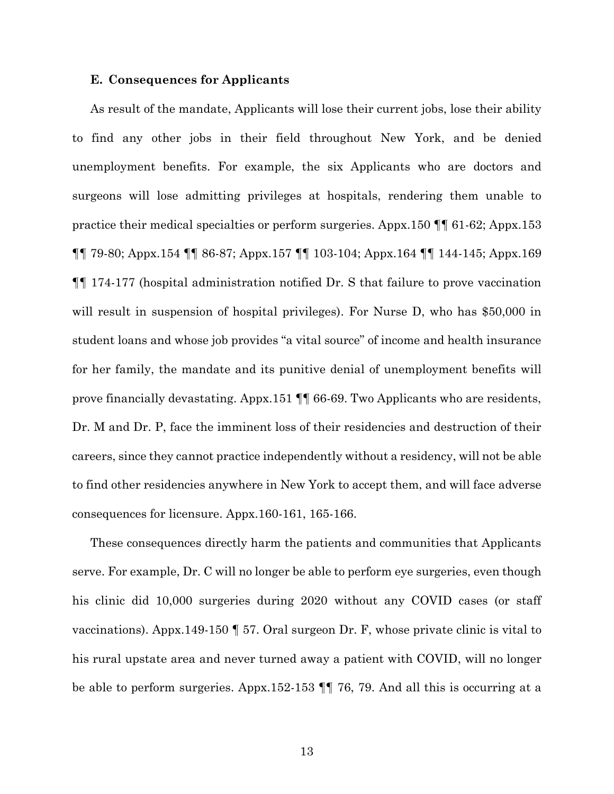#### **E. Consequences for Applicants**

As result of the mandate, Applicants will lose their current jobs, lose their ability to find any other jobs in their field throughout New York, and be denied unemployment benefits. For example, the six Applicants who are doctors and surgeons will lose admitting privileges at hospitals, rendering them unable to practice their medical specialties or perform surgeries. Appx.150 ¶¶ 61-62; Appx.153 ¶¶ 79-80; Appx.154 ¶¶ 86-87; Appx.157 ¶¶ 103-104; Appx.164 ¶¶ 144-145; Appx.169 ¶¶ 174-177 (hospital administration notified Dr. S that failure to prove vaccination will result in suspension of hospital privileges). For Nurse D, who has \$50,000 in student loans and whose job provides "a vital source" of income and health insurance for her family, the mandate and its punitive denial of unemployment benefits will prove financially devastating. Appx.151 ¶¶ 66-69. Two Applicants who are residents, Dr. M and Dr. P, face the imminent loss of their residencies and destruction of their careers, since they cannot practice independently without a residency, will not be able to find other residencies anywhere in New York to accept them, and will face adverse consequences for licensure. Appx.160-161, 165-166.

These consequences directly harm the patients and communities that Applicants serve. For example, Dr. C will no longer be able to perform eye surgeries, even though his clinic did 10,000 surgeries during 2020 without any COVID cases (or staff vaccinations). Appx.149-150 ¶ 57. Oral surgeon Dr. F, whose private clinic is vital to his rural upstate area and never turned away a patient with COVID, will no longer be able to perform surgeries. Appx.152-153 ¶¶ 76, 79. And all this is occurring at a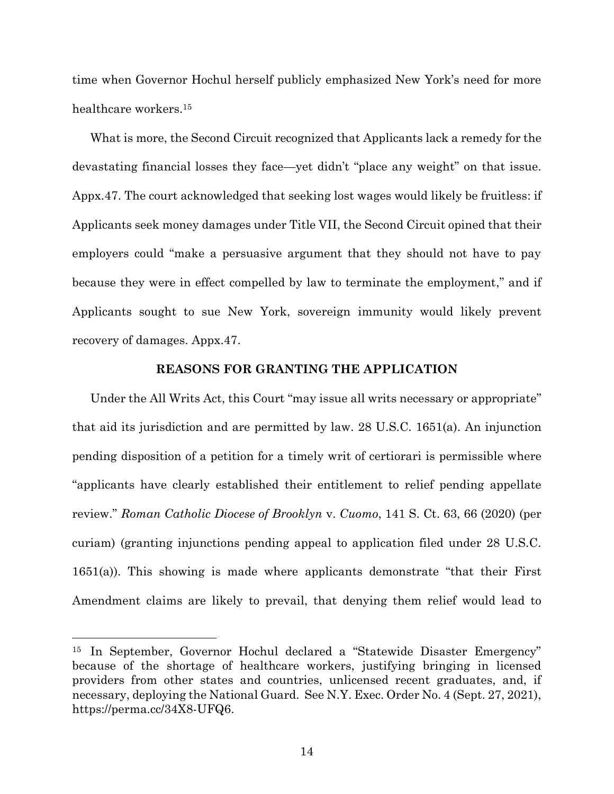time when Governor Hochul herself publicly emphasized New York's need for more healthcare workers.<sup>15</sup>

What is more, the Second Circuit recognized that Applicants lack a remedy for the devastating financial losses they face—yet didn't "place any weight" on that issue. Appx.47. The court acknowledged that seeking lost wages would likely be fruitless: if Applicants seek money damages under Title VII, the Second Circuit opined that their employers could "make a persuasive argument that they should not have to pay because they were in effect compelled by law to terminate the employment," and if Applicants sought to sue New York, sovereign immunity would likely prevent recovery of damages. Appx.47.

#### **REASONS FOR GRANTING THE APPLICATION**

Under the All Writs Act, this Court "may issue all writs necessary or appropriate" that aid its jurisdiction and are permitted by law. 28 U.S.C. 1651(a). An injunction pending disposition of a petition for a timely writ of certiorari is permissible where "applicants have clearly established their entitlement to relief pending appellate review." *Roman Catholic Diocese of Brooklyn* v. *Cuomo*, 141 S. Ct. 63, 66 (2020) (per curiam) (granting injunctions pending appeal to application filed under 28 U.S.C. 1651(a)). This showing is made where applicants demonstrate "that their First Amendment claims are likely to prevail, that denying them relief would lead to

<sup>15</sup> In September, Governor Hochul declared a "Statewide Disaster Emergency" because of the shortage of healthcare workers, justifying bringing in licensed providers from other states and countries, unlicensed recent graduates, and, if necessary, deploying the National Guard. See N.Y. Exec. Order No. 4 (Sept. 27, 2021), [https://perma.cc/34X8-UFQ6.](https://perma.cc/34X8-UFQ6)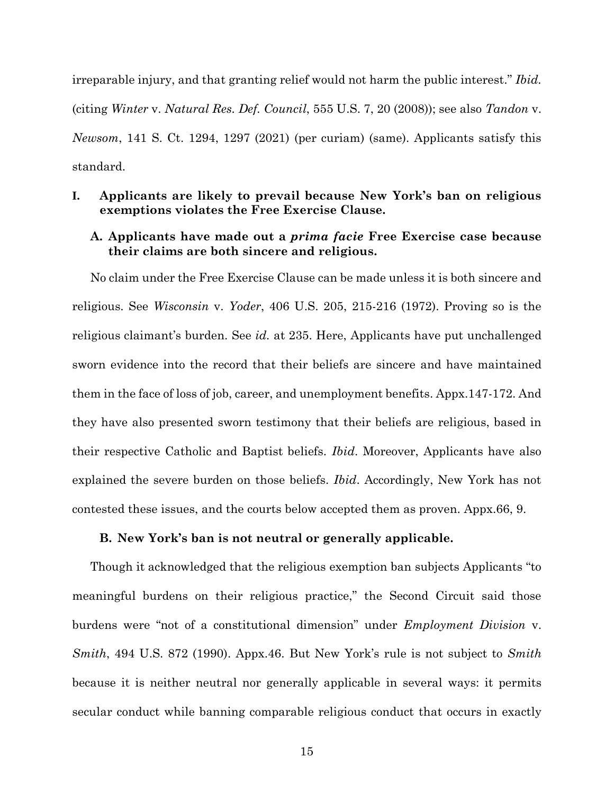irreparable injury, and that granting relief would not harm the public interest." *Ibid.* (citing *Winter* v. *Natural Res. Def. Council*, 555 U.S. 7, 20 (2008)); see also *Tandon* v. *Newsom*, 141 S. Ct. 1294, 1297 (2021) (per curiam) (same). Applicants satisfy this standard.

## **I. Applicants are likely to prevail because New York's ban on religious exemptions violates the Free Exercise Clause.**

## **A. Applicants have made out a** *prima facie* **Free Exercise case because their claims are both sincere and religious.**

No claim under the Free Exercise Clause can be made unless it is both sincere and religious. See *Wisconsin* v. *Yoder*, 406 U.S. 205, 215-216 (1972). Proving so is the religious claimant's burden. See *id.* at 235. Here, Applicants have put unchallenged sworn evidence into the record that their beliefs are sincere and have maintained them in the face of loss of job, career, and unemployment benefits. Appx.147-172. And they have also presented sworn testimony that their beliefs are religious, based in their respective Catholic and Baptist beliefs. *Ibid*. Moreover, Applicants have also explained the severe burden on those beliefs. *Ibid*. Accordingly, New York has not contested these issues, and the courts below accepted them as proven. Appx.66, 9.

#### **B. New York's ban is not neutral or generally applicable.**

Though it acknowledged that the religious exemption ban subjects Applicants "to meaningful burdens on their religious practice," the Second Circuit said those burdens were "not of a constitutional dimension" under *Employment Division* v. *Smith*, 494 U.S. 872 (1990). Appx.46. But New York's rule is not subject to *Smith* because it is neither neutral nor generally applicable in several ways: it permits secular conduct while banning comparable religious conduct that occurs in exactly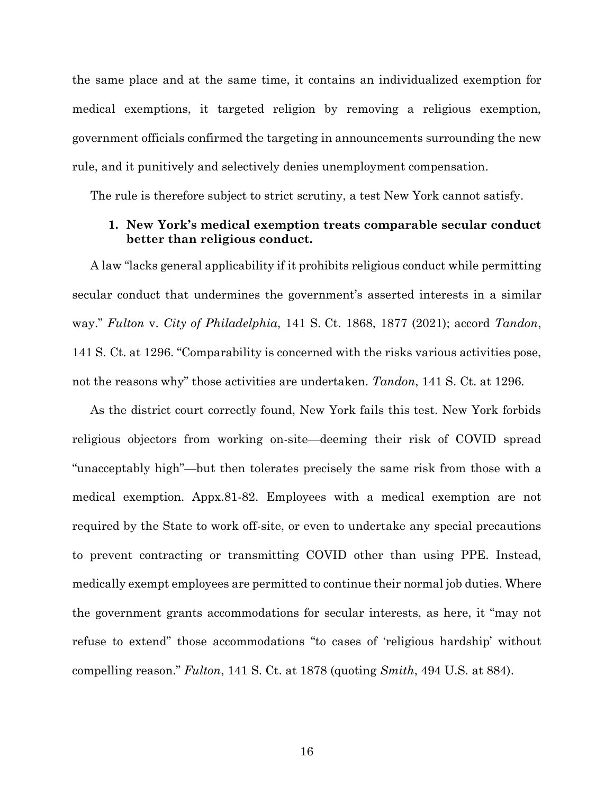the same place and at the same time, it contains an individualized exemption for medical exemptions, it targeted religion by removing a religious exemption, government officials confirmed the targeting in announcements surrounding the new rule, and it punitively and selectively denies unemployment compensation.

The rule is therefore subject to strict scrutiny, a test New York cannot satisfy.

## **1. New York's medical exemption treats comparable secular conduct better than religious conduct.**

A law "lacks general applicability if it prohibits religious conduct while permitting secular conduct that undermines the government's asserted interests in a similar way." *Fulton* v. *City of Philadelphia*, 141 S. Ct. 1868, 1877 (2021); accord *Tandon*, 141 S. Ct. at 1296. "Comparability is concerned with the risks various activities pose, not the reasons why" those activities are undertaken. *Tandon*, 141 S. Ct. at 1296*.*

As the district court correctly found, New York fails this test. New York forbids religious objectors from working on-site—deeming their risk of COVID spread "unacceptably high"—but then tolerates precisely the same risk from those with a medical exemption. Appx.81-82. Employees with a medical exemption are not required by the State to work off-site, or even to undertake any special precautions to prevent contracting or transmitting COVID other than using PPE. Instead, medically exempt employees are permitted to continue their normal job duties. Where the government grants accommodations for secular interests, as here, it "may not refuse to extend" those accommodations "to cases of 'religious hardship' without compelling reason." *Fulton*, 141 S. Ct. at 1878 (quoting *Smith*, 494 U.S. at 884).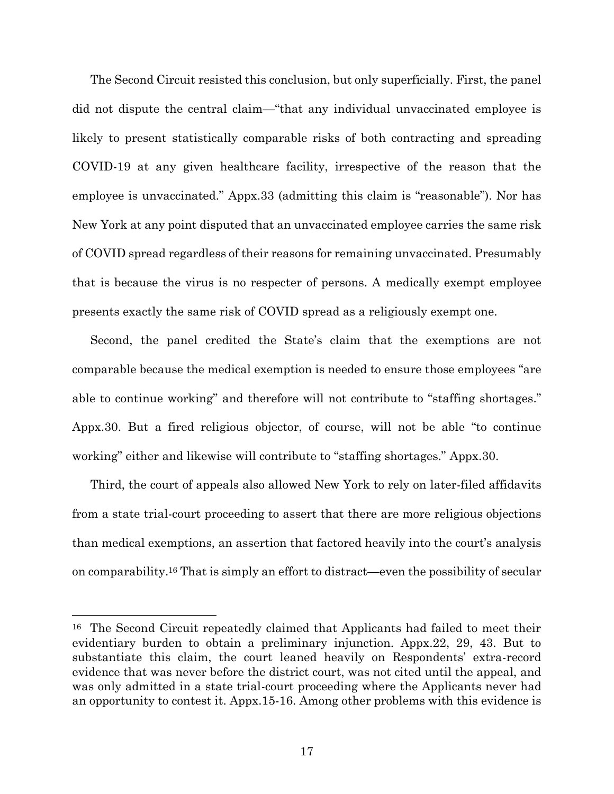The Second Circuit resisted this conclusion, but only superficially. First, the panel did not dispute the central claim—"that any individual unvaccinated employee is likely to present statistically comparable risks of both contracting and spreading COVID-19 at any given healthcare facility, irrespective of the reason that the employee is unvaccinated." Appx.33 (admitting this claim is "reasonable"). Nor has New York at any point disputed that an unvaccinated employee carries the same risk of COVID spread regardless of their reasons for remaining unvaccinated. Presumably that is because the virus is no respecter of persons. A medically exempt employee presents exactly the same risk of COVID spread as a religiously exempt one.

Second, the panel credited the State's claim that the exemptions are not comparable because the medical exemption is needed to ensure those employees "are able to continue working" and therefore will not contribute to "staffing shortages." Appx.30. But a fired religious objector, of course, will not be able "to continue working" either and likewise will contribute to "staffing shortages." Appx.30.

Third, the court of appeals also allowed New York to rely on later-filed affidavits from a state trial-court proceeding to assert that there are more religious objections than medical exemptions, an assertion that factored heavily into the court's analysis on comparability. <sup>16</sup> That is simply an effort to distract—even the possibility of secular

<sup>16</sup> The Second Circuit repeatedly claimed that Applicants had failed to meet their evidentiary burden to obtain a preliminary injunction. Appx.22, 29, 43. But to substantiate this claim, the court leaned heavily on Respondents' extra-record evidence that was never before the district court, was not cited until the appeal, and was only admitted in a state trial-court proceeding where the Applicants never had an opportunity to contest it. Appx.15-16. Among other problems with this evidence is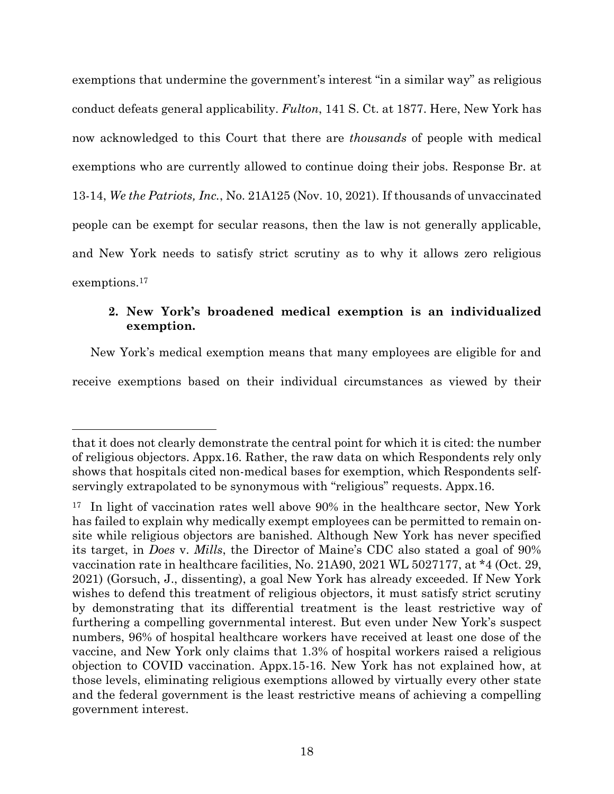exemptions that undermine the government's interest "in a similar way" as religious conduct defeats general applicability. *Fulton*, 141 S. Ct. at 1877. Here, New York has now acknowledged to this Court that there are *thousands* of people with medical exemptions who are currently allowed to continue doing their jobs. Response Br. at 13-14, *We the Patriots, Inc.*, No. 21A125 (Nov. 10, 2021). If thousands of unvaccinated people can be exempt for secular reasons, then the law is not generally applicable, and New York needs to satisfy strict scrutiny as to why it allows zero religious exemptions.<sup>17</sup>

## **2. New York's broadened medical exemption is an individualized exemption.**

New York's medical exemption means that many employees are eligible for and receive exemptions based on their individual circumstances as viewed by their

that it does not clearly demonstrate the central point for which it is cited: the number of religious objectors. Appx.16*.* Rather, the raw data on which Respondents rely only shows that hospitals cited non-medical bases for exemption, which Respondents selfservingly extrapolated to be synonymous with "religious" requests. Appx.16.

<sup>&</sup>lt;sup>17</sup> In light of vaccination rates well above 90% in the healthcare sector, New York has failed to explain why medically exempt employees can be permitted to remain onsite while religious objectors are banished. Although New York has never specified its target, in *Does* v. *Mills*, the Director of Maine's CDC also stated a goal of 90% vaccination rate in healthcare facilities, No. 21A90, 2021 WL 5027177, at \*4 (Oct. 29, 2021) (Gorsuch, J., dissenting), a goal New York has already exceeded. If New York wishes to defend this treatment of religious objectors, it must satisfy strict scrutiny by demonstrating that its differential treatment is the least restrictive way of furthering a compelling governmental interest. But even under New York's suspect numbers, 96% of hospital healthcare workers have received at least one dose of the vaccine, and New York only claims that 1.3% of hospital workers raised a religious objection to COVID vaccination. Appx.15-16. New York has not explained how, at those levels, eliminating religious exemptions allowed by virtually every other state and the federal government is the least restrictive means of achieving a compelling government interest.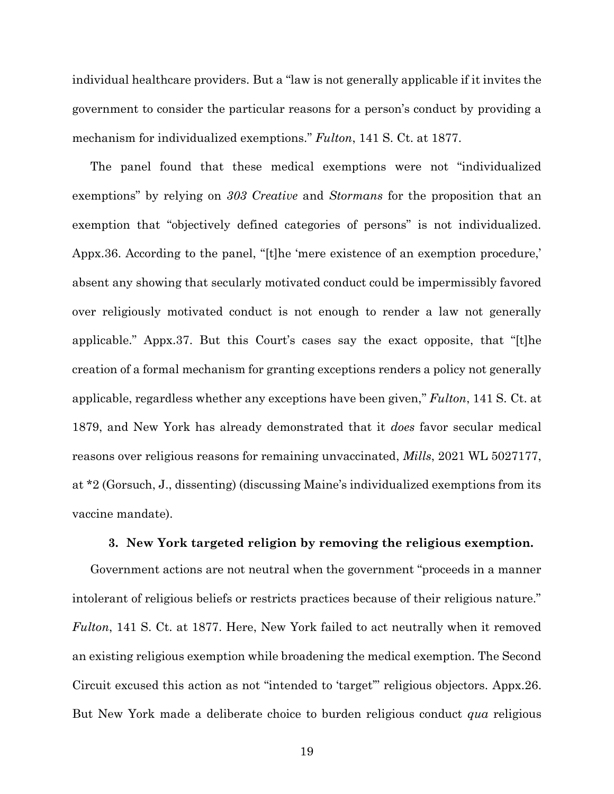individual healthcare providers. But a "law is not generally applicable if it invites the government to consider the particular reasons for a person's conduct by providing a mechanism for individualized exemptions." *Fulton*, 141 S. Ct. at 1877.

The panel found that these medical exemptions were not "individualized exemptions" by relying on *303 Creative* and *Stormans* for the proposition that an exemption that "objectively defined categories of persons" is not individualized. Appx.36. According to the panel, "[t]he 'mere existence of an exemption procedure,' absent any showing that secularly motivated conduct could be impermissibly favored over religiously motivated conduct is not enough to render a law not generally applicable." Appx.37. But this Court's cases say the exact opposite, that "[t]he creation of a formal mechanism for granting exceptions renders a policy not generally applicable, regardless whether any exceptions have been given," *Fulton*, 141 S. Ct. at 1879, and New York has already demonstrated that it *does* favor secular medical reasons over religious reasons for remaining unvaccinated, *Mills*, 2021 WL 5027177, at \*2 (Gorsuch, J., dissenting) (discussing Maine's individualized exemptions from its vaccine mandate).

#### **3. New York targeted religion by removing the religious exemption.**

Government actions are not neutral when the government "proceeds in a manner intolerant of religious beliefs or restricts practices because of their religious nature." *Fulton*, 141 S. Ct. at 1877. Here, New York failed to act neutrally when it removed an existing religious exemption while broadening the medical exemption. The Second Circuit excused this action as not "intended to 'target'" religious objectors. Appx.26. But New York made a deliberate choice to burden religious conduct *qua* religious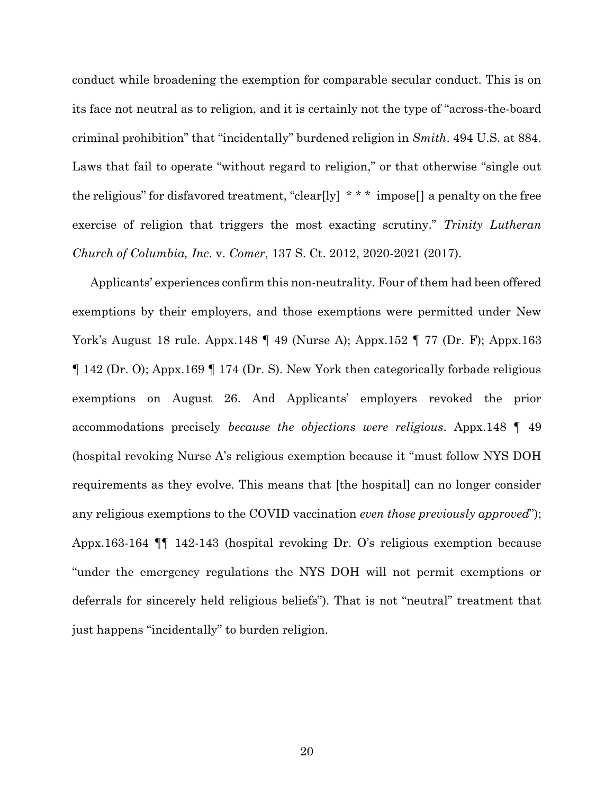conduct while broadening the exemption for comparable secular conduct. This is on its face not neutral as to religion, and it is certainly not the type of "across-the-board criminal prohibition" that "incidentally" burdened religion in *Smith*. 494 U.S. at 884. Laws that fail to operate "without regard to religion," or that otherwise "single out the religious" for disfavored treatment, "clear[ly]  $* * *$  impose[] a penalty on the free exercise of religion that triggers the most exacting scrutiny." *Trinity Lutheran Church of Columbia, Inc.* v. *Comer*, 137 S. Ct. 2012, 2020-2021 (2017).

Applicants' experiences confirm this non-neutrality. Four of them had been offered exemptions by their employers, and those exemptions were permitted under New York's August 18 rule. Appx.148 ¶ 49 (Nurse A); Appx.152 ¶ 77 (Dr. F); Appx.163 ¶ 142 (Dr. O); Appx.169 ¶ 174 (Dr. S). New York then categorically forbade religious exemptions on August 26. And Applicants' employers revoked the prior accommodations precisely *because the objections were religious*. Appx.148 ¶ 49 (hospital revoking Nurse A's religious exemption because it "must follow NYS DOH requirements as they evolve. This means that [the hospital] can no longer consider any religious exemptions to the COVID vaccination *even those previously approved*"); Appx.163-164 ¶¶ 142-143 (hospital revoking Dr. O's religious exemption because "under the emergency regulations the NYS DOH will not permit exemptions or deferrals for sincerely held religious beliefs"). That is not "neutral" treatment that just happens "incidentally" to burden religion.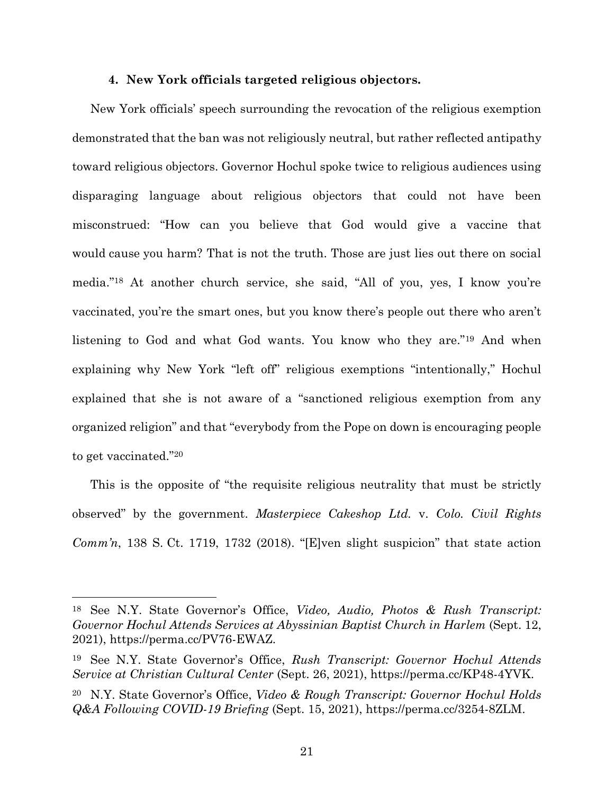#### **4. New York officials targeted religious objectors.**

New York officials' speech surrounding the revocation of the religious exemption demonstrated that the ban was not religiously neutral, but rather reflected antipathy toward religious objectors. Governor Hochul spoke twice to religious audiences using disparaging language about religious objectors that could not have been misconstrued: "How can you believe that God would give a vaccine that would cause you harm? That is not the truth. Those are just lies out there on social media."<sup>18</sup> At another church service, she said, "All of you, yes, I know you're vaccinated, you're the smart ones, but you know there's people out there who aren't listening to God and what God wants. You know who they are."<sup>19</sup> And when explaining why New York "left off" religious exemptions "intentionally," Hochul explained that she is not aware of a "sanctioned religious exemption from any organized religion" and that "everybody from the Pope on down is encouraging people to get vaccinated."<sup>20</sup>

This is the opposite of "the requisite religious neutrality that must be strictly observed" by the government. *Masterpiece Cakeshop Ltd.* v. *Colo. Civil Rights Comm'n*, 138 S. Ct. 1719, 1732 (2018). "[E]ven slight suspicion" that state action

<sup>18</sup> See N.Y. State Governor's Office, *Video, Audio, Photos & Rush Transcript: Governor Hochul Attends Services at Abyssinian Baptist Church in Harlem* (Sept. 12, 2021), [https://perma.cc/PV76-EWAZ.](https://perma.cc/PV76-EWAZ)

<sup>19</sup> See N.Y. State Governor's Office, *Rush Transcript: Governor Hochul Attends Service at Christian Cultural Center* (Sept. 26, 2021), https://perma.cc/KP48-4YVK.

<sup>20</sup> N.Y. State Governor's Office, *Video & Rough Transcript: Governor Hochul Holds Q&A Following COVID-19 Briefing* (Sept. 15, 2021), [https://perma.cc/3254-8ZLM.](https://perma.cc/3254-8ZLM)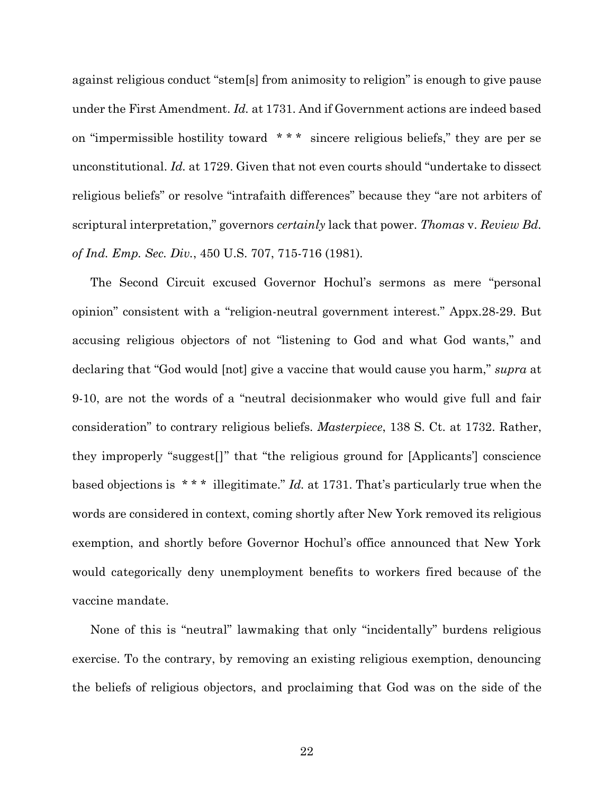against religious conduct "stem[s] from animosity to religion" is enough to give pause under the First Amendment. *Id.* at 1731. And if Government actions are indeed based on "impermissible hostility toward \* \* \* sincere religious beliefs," they are per se unconstitutional. *Id.* at 1729. Given that not even courts should "undertake to dissect religious beliefs" or resolve "intrafaith differences" because they "are not arbiters of scriptural interpretation," governors *certainly* lack that power. *Thomas* v. *Review Bd. of Ind. Emp. Sec. Div.*, 450 U.S. 707, 715-716 (1981)*.*

The Second Circuit excused Governor Hochul's sermons as mere "personal opinion" consistent with a "religion-neutral government interest." Appx.28-29. But accusing religious objectors of not "listening to God and what God wants," and declaring that "God would [not] give a vaccine that would cause you harm," *supra* at 9-10, are not the words of a "neutral decisionmaker who would give full and fair consideration" to contrary religious beliefs. *Masterpiece*, 138 S. Ct. at 1732. Rather, they improperly "suggest[]" that "the religious ground for [Applicants'] conscience based objections is \* \* \* illegitimate." *Id.* at 1731. That's particularly true when the words are considered in context, coming shortly after New York removed its religious exemption, and shortly before Governor Hochul's office announced that New York would categorically deny unemployment benefits to workers fired because of the vaccine mandate.

None of this is "neutral" lawmaking that only "incidentally" burdens religious exercise. To the contrary, by removing an existing religious exemption, denouncing the beliefs of religious objectors, and proclaiming that God was on the side of the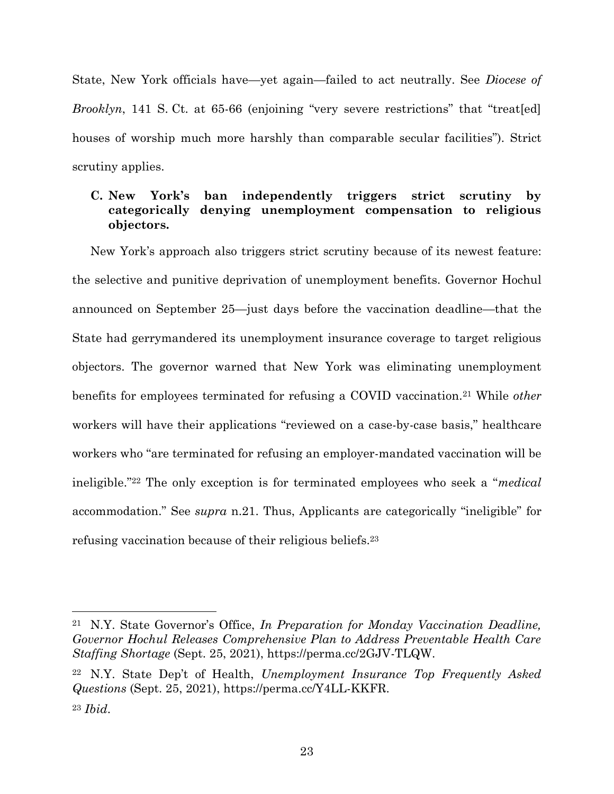State, New York officials have—yet again—failed to act neutrally. See *Diocese of Brooklyn*, 141 S. Ct. at 65-66 (enjoining "very severe restrictions" that "treat [ed] houses of worship much more harshly than comparable secular facilities"). Strict scrutiny applies.

## **C. New York's ban independently triggers strict scrutiny by categorically denying unemployment compensation to religious objectors.**

New York's approach also triggers strict scrutiny because of its newest feature: the selective and punitive deprivation of unemployment benefits. Governor Hochul announced on September 25—just days before the vaccination deadline—that the State had gerrymandered its unemployment insurance coverage to target religious objectors. The governor warned that New York was eliminating unemployment benefits for employees terminated for refusing a COVID vaccination.<sup>21</sup> While *other*  workers will have their applications "reviewed on a case-by-case basis," healthcare workers who "are terminated for refusing an employer-mandated vaccination will be ineligible."<sup>22</sup> The only exception is for terminated employees who seek a "*medical*  accommodation." See *supra* n.21. Thus, Applicants are categorically "ineligible" for refusing vaccination because of their religious beliefs. 23

<sup>21</sup> N.Y. State Governor's Office, *In Preparation for Monday Vaccination Deadline, Governor Hochul Releases Comprehensive Plan to Address Preventable Health Care Staffing Shortage* (Sept. 25, 2021), https://perma.cc/2GJV-TLQW.

<sup>22</sup> N.Y. State Dep't of Health, *Unemployment Insurance Top Frequently Asked Questions* (Sept. 25, 2021), https://perma.cc/Y4LL-KKFR. <sup>23</sup> *Ibid*.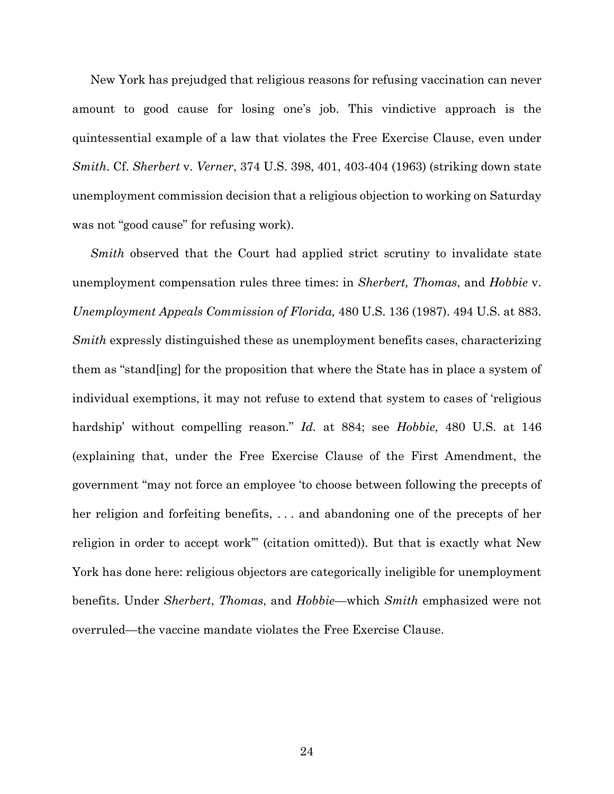New York has prejudged that religious reasons for refusing vaccination can never amount to good cause for losing one's job. This vindictive approach is the quintessential example of a law that violates the Free Exercise Clause, even under *Smith*. Cf. *Sherbert* v. *Verner*, 374 U.S. 398, 401, 403-404 (1963) (striking down state unemployment commission decision that a religious objection to working on Saturday was not "good cause" for refusing work).

*Smith* observed that the Court had applied strict scrutiny to invalidate state unemployment compensation rules three times: in *Sherbert, Thomas*, and *Hobbie* v. *Unemployment Appeals Commission of Florida,* 480 U.S. 136 (1987). 494 U.S. at 883. *Smith* expressly distinguished these as unemployment benefits cases, characterizing them as "stand[ing] for the proposition that where the State has in place a system of individual exemptions, it may not refuse to extend that system to cases of 'religious hardship' without compelling reason." *Id.* at 884; see *Hobbie*, 480 U.S. at 146 (explaining that, under the Free Exercise Clause of the First Amendment, the government "may not force an employee 'to choose between following the precepts of her religion and forfeiting benefits, . . . and abandoning one of the precepts of her religion in order to accept work'" (citation omitted)). But that is exactly what New York has done here: religious objectors are categorically ineligible for unemployment benefits. Under *Sherbert*, *Thomas*, and *Hobbie*—which *Smith* emphasized were not overruled—the vaccine mandate violates the Free Exercise Clause.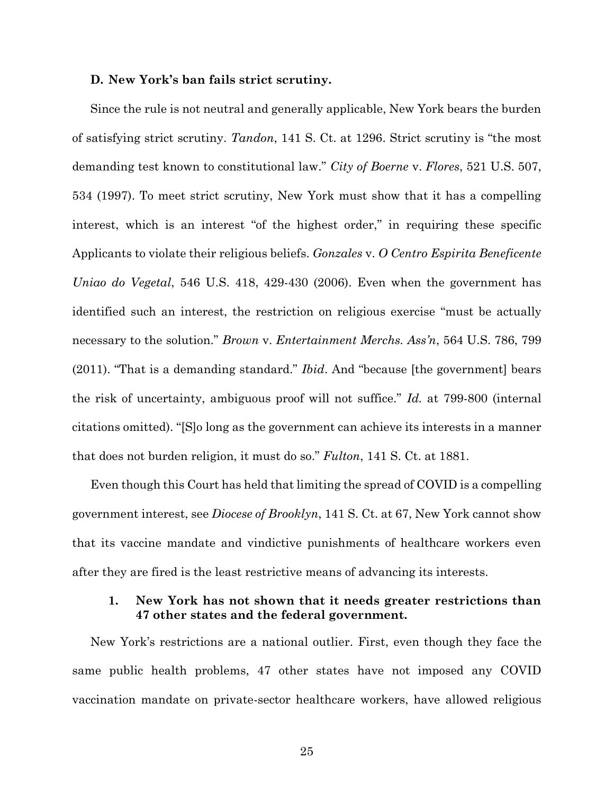#### **D. New York's ban fails strict scrutiny.**

Since the rule is not neutral and generally applicable, New York bears the burden of satisfying strict scrutiny. *Tandon*, 141 S. Ct. at 1296. Strict scrutiny is "the most demanding test known to constitutional law." *City of Boerne* v. *Flores*, 521 U.S. 507, 534 (1997). To meet strict scrutiny, New York must show that it has a compelling interest, which is an interest "of the highest order," in requiring these specific Applicants to violate their religious beliefs. *Gonzales* v. *O Centro Espirita Beneficente Uniao do Vegetal*, 546 U.S. 418, 429-430 (2006). Even when the government has identified such an interest, the restriction on religious exercise "must be actually necessary to the solution." *Brown* v. *Entertainment Merchs. Ass'n*, 564 U.S. 786, 799 (2011). "That is a demanding standard." *Ibid*. And "because [the government] bears the risk of uncertainty, ambiguous proof will not suffice." *Id.* at 799-800 (internal citations omitted). "[S]o long as the government can achieve its interests in a manner that does not burden religion, it must do so." *Fulton*, 141 S. Ct. at 1881.

Even though this Court has held that limiting the spread of COVID is a compelling government interest, see *Diocese of Brooklyn*, 141 S. Ct. at 67, New York cannot show that its vaccine mandate and vindictive punishments of healthcare workers even after they are fired is the least restrictive means of advancing its interests.

## **1. New York has not shown that it needs greater restrictions than 47 other states and the federal government.**

New York's restrictions are a national outlier. First, even though they face the same public health problems, 47 other states have not imposed any COVID vaccination mandate on private-sector healthcare workers, have allowed religious

25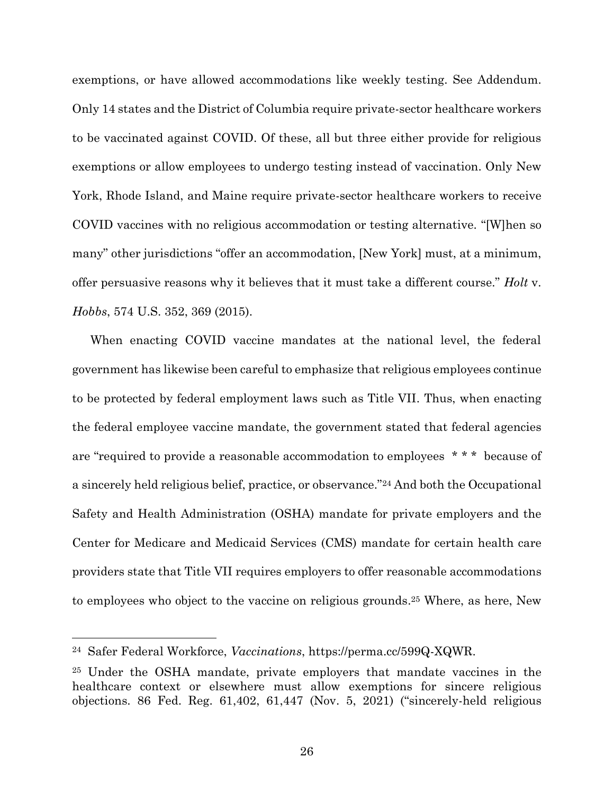exemptions, or have allowed accommodations like weekly testing. See Addendum. Only 14 states and the District of Columbia require private-sector healthcare workers to be vaccinated against COVID. Of these, all but three either provide for religious exemptions or allow employees to undergo testing instead of vaccination. Only New York, Rhode Island, and Maine require private-sector healthcare workers to receive COVID vaccines with no religious accommodation or testing alternative. "[W]hen so many" other jurisdictions "offer an accommodation, [New York] must, at a minimum, offer persuasive reasons why it believes that it must take a different course." *Holt* v. *Hobbs*, 574 U.S. 352, 369 (2015).

When enacting COVID vaccine mandates at the national level, the federal government has likewise been careful to emphasize that religious employees continue to be protected by federal employment laws such as Title VII. Thus, when enacting the federal employee vaccine mandate, the government stated that federal agencies are "required to provide a reasonable accommodation to employees \* \* \* because of a sincerely held religious belief, practice, or observance."<sup>24</sup> And both the Occupational Safety and Health Administration (OSHA) mandate for private employers and the Center for Medicare and Medicaid Services (CMS) mandate for certain health care providers state that Title VII requires employers to offer reasonable accommodations to employees who object to the vaccine on religious grounds. <sup>25</sup> Where, as here, New

<sup>24</sup> Safer Federal Workforce, *Vaccinations*, https://perma.cc/599Q-XQWR.

<sup>25</sup> Under the OSHA mandate, private employers that mandate vaccines in the healthcare context or elsewhere must allow exemptions for sincere religious objections. 86 Fed. Reg. 61,402, 61,447 (Nov. 5, 2021) ("sincerely-held religious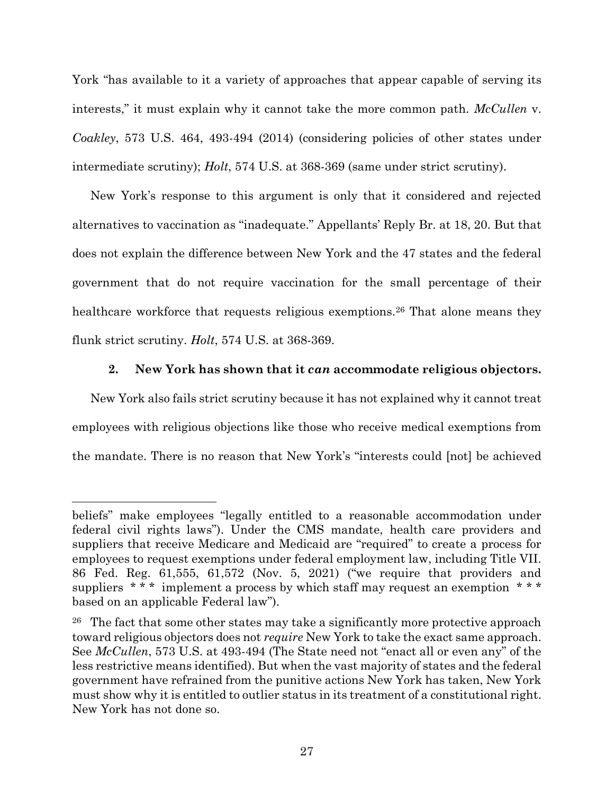York "has available to it a variety of approaches that appear capable of serving its interests," it must explain why it cannot take the more common path. *McCullen* v. *Coakley*, 573 U.S. 464, 493-494 (2014) (considering policies of other states under intermediate scrutiny); *Holt*, 574 U.S. at 368-369 (same under strict scrutiny).

New York's response to this argument is only that it considered and rejected alternatives to vaccination as "inadequate." Appellants' Reply Br. at 18, 20. But that does not explain the difference between New York and the 47 states and the federal government that do not require vaccination for the small percentage of their healthcare workforce that requests religious exemptions.<sup>26</sup> That alone means they flunk strict scrutiny. *Holt*, 574 U.S. at 368-369.

## **2. New York has shown that it** *can* **accommodate religious objectors.**

New York also fails strict scrutiny because it has not explained why it cannot treat employees with religious objections like those who receive medical exemptions from the mandate. There is no reason that New York's "interests could [not] be achieved

beliefs" make employees "legally entitled to a reasonable accommodation under federal civil rights laws"). Under the CMS mandate, health care providers and suppliers that receive Medicare and Medicaid are "required" to create a process for employees to request exemptions under federal employment law, including Title VII. 86 Fed. Reg. 61,555, 61,572 (Nov. 5, 2021) ("we require that providers and suppliers  $***$  implement a process by which staff may request an exemption  $***$ based on an applicable Federal law").

<sup>&</sup>lt;sup>26</sup> The fact that some other states may take a significantly more protective approach toward religious objectors does not *require* New York to take the exact same approach. See *McCullen*, 573 U.S. at 493-494 (The State need not "enact all or even any" of the less restrictive means identified). But when the vast majority of states and the federal government have refrained from the punitive actions New York has taken, New York must show why it is entitled to outlier status in its treatment of a constitutional right. New York has not done so.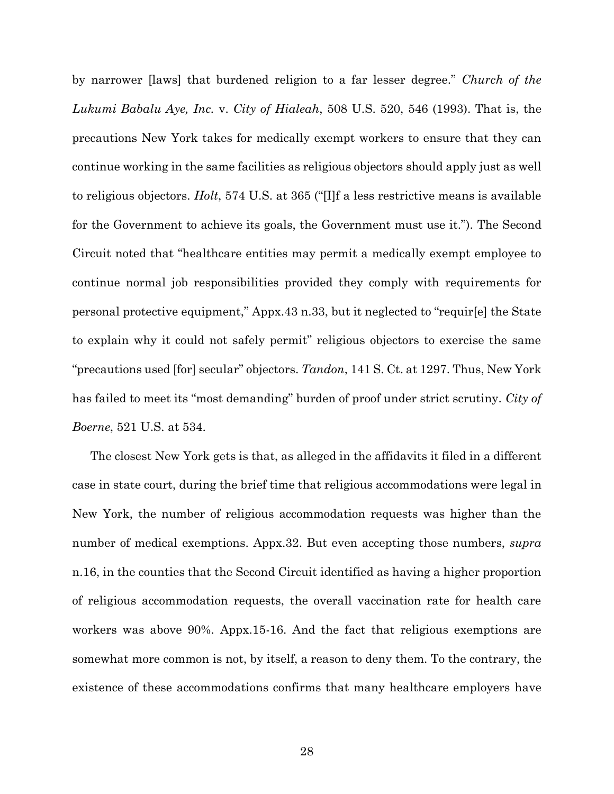by narrower [laws] that burdened religion to a far lesser degree." *Church of the Lukumi Babalu Aye, Inc.* v. *City of Hialeah*, 508 U.S. 520, 546 (1993). That is, the precautions New York takes for medically exempt workers to ensure that they can continue working in the same facilities as religious objectors should apply just as well to religious objectors. *Holt*, 574 U.S. at 365 ("[I]f a less restrictive means is available for the Government to achieve its goals, the Government must use it."). The Second Circuit noted that "healthcare entities may permit a medically exempt employee to continue normal job responsibilities provided they comply with requirements for personal protective equipment," Appx.43 n.33, but it neglected to "requir[e] the State to explain why it could not safely permit" religious objectors to exercise the same "precautions used [for] secular" objectors. *Tandon*, 141 S. Ct. at 1297. Thus, New York has failed to meet its "most demanding" burden of proof under strict scrutiny. *City of Boerne*, 521 U.S. at 534.

The closest New York gets is that, as alleged in the affidavits it filed in a different case in state court, during the brief time that religious accommodations were legal in New York, the number of religious accommodation requests was higher than the number of medical exemptions. Appx.32. But even accepting those numbers, *supra*  n.16, in the counties that the Second Circuit identified as having a higher proportion of religious accommodation requests, the overall vaccination rate for health care workers was above 90%. Appx.15-16. And the fact that religious exemptions are somewhat more common is not, by itself, a reason to deny them. To the contrary, the existence of these accommodations confirms that many healthcare employers have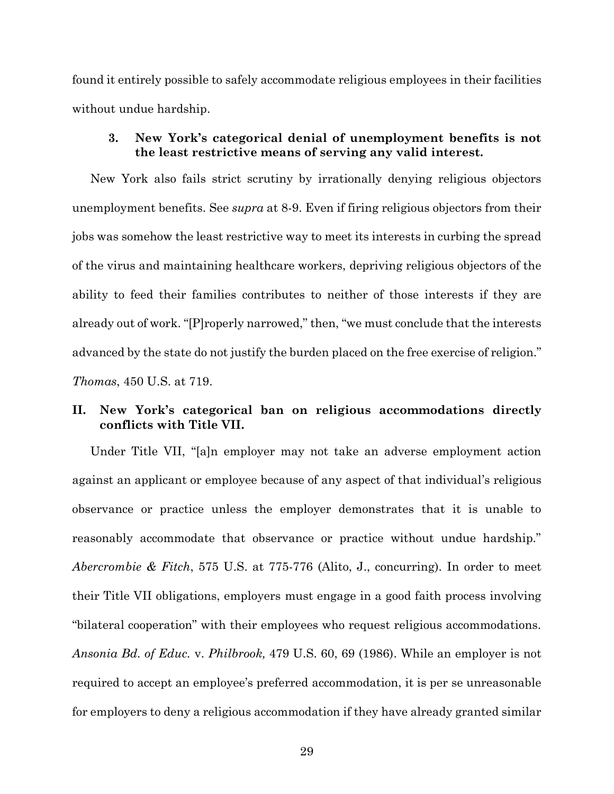found it entirely possible to safely accommodate religious employees in their facilities without undue hardship.

## **3. New York's categorical denial of unemployment benefits is not the least restrictive means of serving any valid interest.**

New York also fails strict scrutiny by irrationally denying religious objectors unemployment benefits. See *supra* at 8-9. Even if firing religious objectors from their jobs was somehow the least restrictive way to meet its interests in curbing the spread of the virus and maintaining healthcare workers, depriving religious objectors of the ability to feed their families contributes to neither of those interests if they are already out of work. "[P]roperly narrowed," then, "we must conclude that the interests advanced by the state do not justify the burden placed on the free exercise of religion." *Thomas*, 450 U.S. at 719.

## **II. New York's categorical ban on religious accommodations directly conflicts with Title VII.**

Under Title VII, "[a]n employer may not take an adverse employment action against an applicant or employee because of any aspect of that individual's religious observance or practice unless the employer demonstrates that it is unable to reasonably accommodate that observance or practice without undue hardship." *Abercrombie & Fitch*, 575 U.S. at 775-776 (Alito, J., concurring). In order to meet their Title VII obligations, employers must engage in a good faith process involving "bilateral cooperation" with their employees who request religious accommodations. *Ansonia Bd. of Educ.* v. *Philbrook,* 479 U.S. 60, 69 (1986). While an employer is not required to accept an employee's preferred accommodation, it is per se unreasonable for employers to deny a religious accommodation if they have already granted similar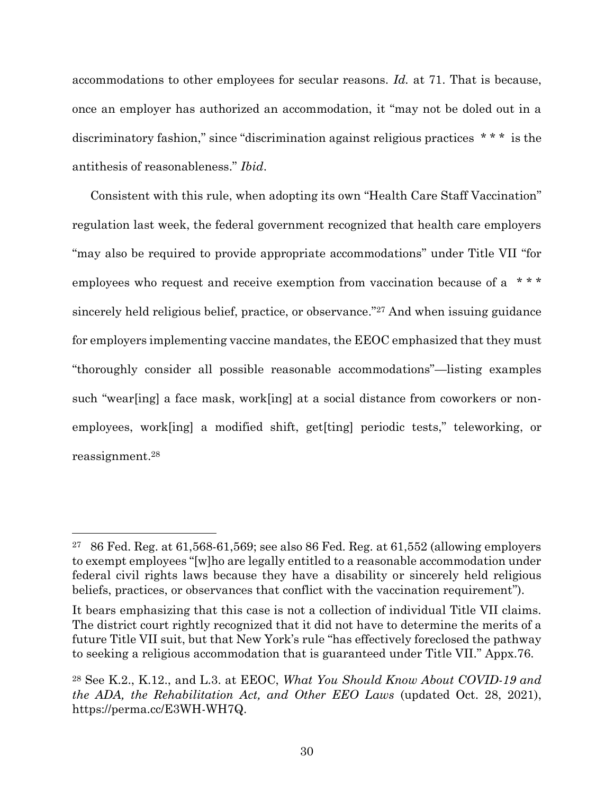accommodations to other employees for secular reasons. *Id.* at 71. That is because, once an employer has authorized an accommodation, it "may not be doled out in a discriminatory fashion," since "discrimination against religious practices \* \* \* is the antithesis of reasonableness." *Ibid*.

Consistent with this rule, when adopting its own "Health Care Staff Vaccination" regulation last week, the federal government recognized that health care employers "may also be required to provide appropriate accommodations" under Title VII "for employees who request and receive exemption from vaccination because of a \*\*\* sincerely held religious belief, practice, or observance." <sup>27</sup> And when issuing guidance for employers implementing vaccine mandates, the EEOC emphasized that they must "thoroughly consider all possible reasonable accommodations"—listing examples such "wear[ing] a face mask, work[ing] at a social distance from coworkers or nonemployees, work[ing] a modified shift, get[ting] periodic tests," teleworking, or reassignment. 28

<sup>&</sup>lt;sup>27</sup> 86 Fed. Reg. at 61,568-61,569; see also 86 Fed. Reg. at 61,552 (allowing employers to exempt employees "[w]ho are legally entitled to a reasonable accommodation under federal civil rights laws because they have a disability or sincerely held religious beliefs, practices, or observances that conflict with the vaccination requirement").

It bears emphasizing that this case is not a collection of individual Title VII claims. The district court rightly recognized that it did not have to determine the merits of a future Title VII suit, but that New York's rule "has effectively foreclosed the pathway to seeking a religious accommodation that is guaranteed under Title VII." Appx.76.

<sup>28</sup> See K.2., K.12., and L.3. at EEOC, *What You Should Know About COVID-19 and the ADA, the Rehabilitation Act, and Other EEO Laws* (updated Oct. 28, 2021), https://perma.cc/E3WH-WH7Q.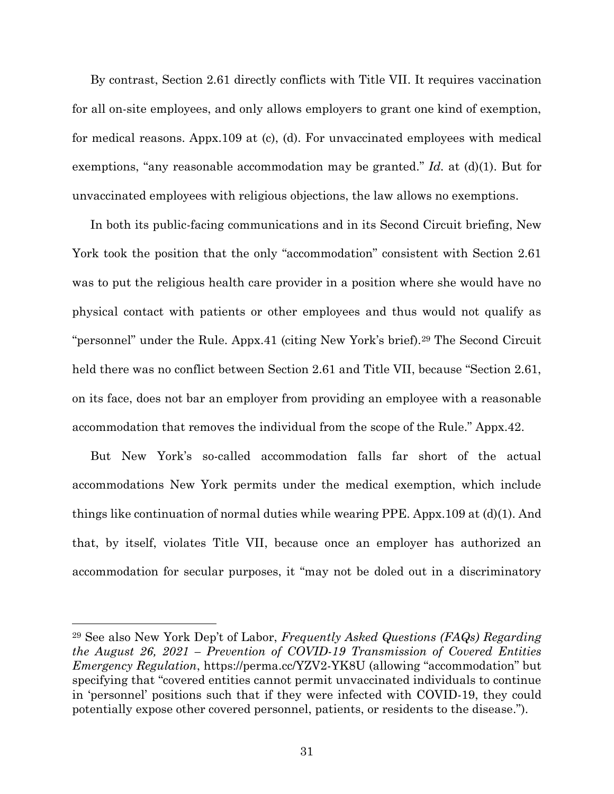By contrast, Section 2.61 directly conflicts with Title VII. It requires vaccination for all on-site employees, and only allows employers to grant one kind of exemption, for medical reasons. Appx.109 at (c), (d). For unvaccinated employees with medical exemptions, "any reasonable accommodation may be granted." *Id.* at (d)(1). But for unvaccinated employees with religious objections, the law allows no exemptions.

In both its public-facing communications and in its Second Circuit briefing, New York took the position that the only "accommodation" consistent with Section 2.61 was to put the religious health care provider in a position where she would have no physical contact with patients or other employees and thus would not qualify as "personnel" under the Rule. Appx.41 (citing New York's brief).<sup>29</sup> The Second Circuit held there was no conflict between Section 2.61 and Title VII, because "Section 2.61, on its face, does not bar an employer from providing an employee with a reasonable accommodation that removes the individual from the scope of the Rule." Appx.42.

But New York's so-called accommodation falls far short of the actual accommodations New York permits under the medical exemption, which include things like continuation of normal duties while wearing PPE. Appx.109 at (d)(1). And that, by itself, violates Title VII, because once an employer has authorized an accommodation for secular purposes, it "may not be doled out in a discriminatory

<sup>29</sup> See also New York Dep't of Labor, *Frequently Asked Questions (FAQs) Regarding the August 26, 2021 – Prevention of COVID-19 Transmission of Covered Entities Emergency Regulation*, https://perma.cc/YZV2-YK8U (allowing "accommodation" but specifying that "covered entities cannot permit unvaccinated individuals to continue in 'personnel' positions such that if they were infected with COVID-19, they could potentially expose other covered personnel, patients, or residents to the disease.").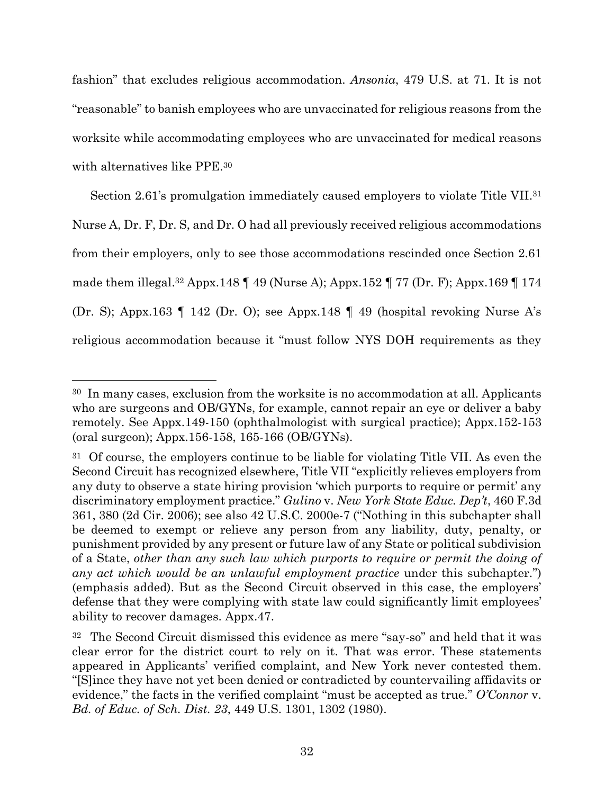fashion" that excludes religious accommodation. *Ansonia*, 479 U.S. at 71. It is not "reasonable" to banish employees who are unvaccinated for religious reasons from the worksite while accommodating employees who are unvaccinated for medical reasons with alternatives like PPE.<sup>30</sup>

Section 2.61's promulgation immediately caused employers to violate Title VII.<sup>31</sup> Nurse A, Dr. F, Dr. S, and Dr. O had all previously received religious accommodations from their employers, only to see those accommodations rescinded once Section 2.61 made them illegal. <sup>32</sup> Appx.148 ¶ 49 (Nurse A); Appx.152 ¶ 77 (Dr. F); Appx.169 ¶ 174 (Dr. S); Appx.163 ¶ 142 (Dr. O); see Appx.148 ¶ 49 (hospital revoking Nurse A's religious accommodation because it "must follow NYS DOH requirements as they

<sup>30</sup> In many cases, exclusion from the worksite is no accommodation at all. Applicants who are surgeons and OB/GYNs, for example, cannot repair an eye or deliver a baby remotely. See Appx.149-150 (ophthalmologist with surgical practice); Appx.152-153 (oral surgeon); Appx.156-158, 165-166 (OB/GYNs).

<sup>&</sup>lt;sup>31</sup> Of course, the employers continue to be liable for violating Title VII. As even the Second Circuit has recognized elsewhere, Title VII "explicitly relieves employers from any duty to observe a state hiring provision 'which purports to require or permit' any discriminatory employment practice." *Gulino* v. *New York State Educ. Dep't*, 460 F.3d 361, 380 (2d Cir. 2006); see also 42 U.S.C. 2000e-7 ("Nothing in this subchapter shall be deemed to exempt or relieve any person from any liability, duty, penalty, or punishment provided by any present or future law of any State or political subdivision of a State, *other than any such law which purports to require or permit the doing of any act which would be an unlawful employment practice* under this subchapter.") (emphasis added). But as the Second Circuit observed in this case, the employers' defense that they were complying with state law could significantly limit employees' ability to recover damages. Appx.47.

<sup>&</sup>lt;sup>32</sup> The Second Circuit dismissed this evidence as mere "say-so" and held that it was clear error for the district court to rely on it. That was error. These statements appeared in Applicants' verified complaint, and New York never contested them. "[S]ince they have not yet been denied or contradicted by countervailing affidavits or evidence," the facts in the verified complaint "must be accepted as true." *O'Connor* v. *Bd. of Educ. of Sch. Dist. 23*, 449 U.S. 1301, 1302 (1980).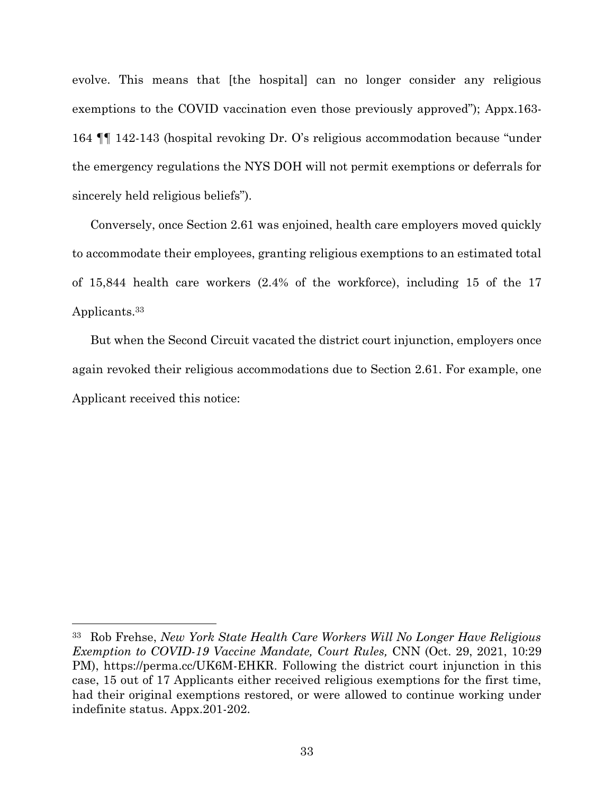evolve. This means that [the hospital] can no longer consider any religious exemptions to the COVID vaccination even those previously approved"); Appx.163- 164 ¶¶ 142-143 (hospital revoking Dr. O's religious accommodation because "under the emergency regulations the NYS DOH will not permit exemptions or deferrals for sincerely held religious beliefs").

Conversely, once Section 2.61 was enjoined, health care employers moved quickly to accommodate their employees, granting religious exemptions to an estimated total of 15,844 health care workers (2.4% of the workforce), including 15 of the 17 Applicants. 33

But when the Second Circuit vacated the district court injunction, employers once again revoked their religious accommodations due to Section 2.61. For example, one Applicant received this notice:

<sup>33</sup> Rob Frehse, *New York State Health Care Workers Will No Longer Have Religious Exemption to COVID-19 Vaccine Mandate, Court Rules,* CNN (Oct. 29, 2021, 10:29 PM), https://perma.cc/UK6M-EHKR. Following the district court injunction in this case, 15 out of 17 Applicants either received religious exemptions for the first time, had their original exemptions restored, or were allowed to continue working under indefinite status. Appx.201-202.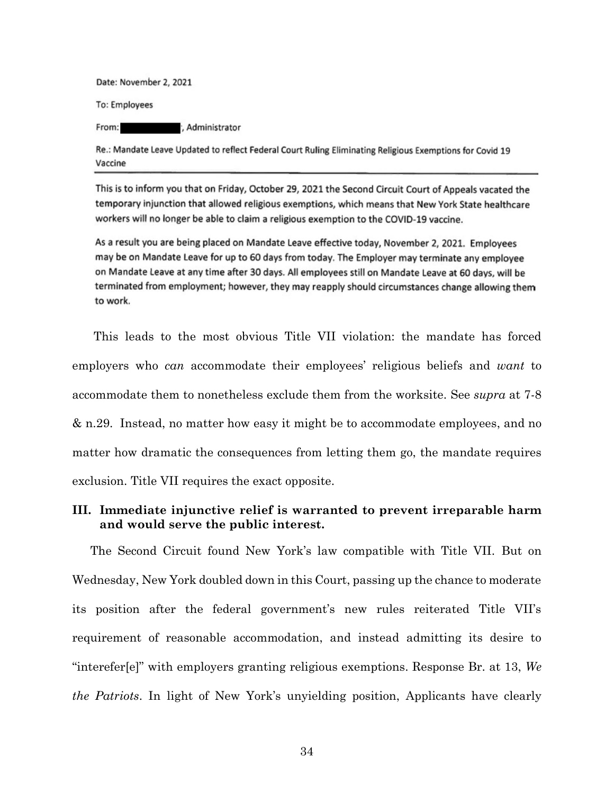Date: November 2, 2021

**To: Employees** 

From: , Administrator

Re.: Mandate Leave Updated to reflect Federal Court Ruling Eliminating Religious Exemptions for Covid 19 Vaccine

This is to inform you that on Friday, October 29, 2021 the Second Circuit Court of Appeals vacated the temporary injunction that allowed religious exemptions, which means that New York State healthcare workers will no longer be able to claim a religious exemption to the COVID-19 vaccine.

As a result you are being placed on Mandate Leave effective today, November 2, 2021. Employees may be on Mandate Leave for up to 60 days from today. The Employer may terminate any employee on Mandate Leave at any time after 30 days. All employees still on Mandate Leave at 60 days, will be terminated from employment; however, they may reapply should circumstances change allowing them to work.

This leads to the most obvious Title VII violation: the mandate has forced employers who *can* accommodate their employees' religious beliefs and *want* to accommodate them to nonetheless exclude them from the worksite. See *supra* at 7-8 & n.29. Instead, no matter how easy it might be to accommodate employees, and no matter how dramatic the consequences from letting them go, the mandate requires exclusion. Title VII requires the exact opposite.

## **III. Immediate injunctive relief is warranted to prevent irreparable harm and would serve the public interest.**

The Second Circuit found New York's law compatible with Title VII. But on Wednesday, New York doubled down in this Court, passing up the chance to moderate its position after the federal government's new rules reiterated Title VII's requirement of reasonable accommodation, and instead admitting its desire to "interefer[e]" with employers granting religious exemptions. Response Br. at 13, *We the Patriots*. In light of New York's unyielding position, Applicants have clearly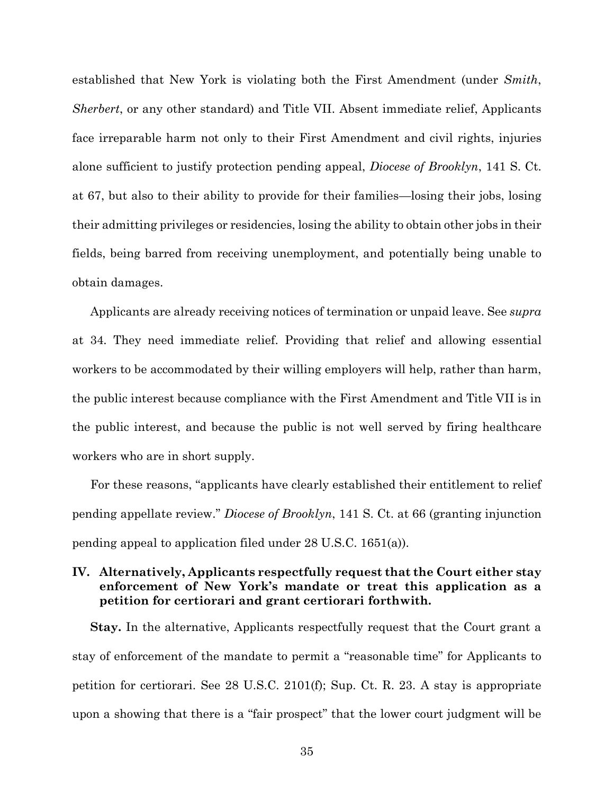established that New York is violating both the First Amendment (under *Smith*, *Sherbert*, or any other standard) and Title VII. Absent immediate relief, Applicants face irreparable harm not only to their First Amendment and civil rights, injuries alone sufficient to justify protection pending appeal, *Diocese of Brooklyn*, 141 S. Ct. at 67, but also to their ability to provide for their families—losing their jobs, losing their admitting privileges or residencies, losing the ability to obtain other jobs in their fields, being barred from receiving unemployment, and potentially being unable to obtain damages.

Applicants are already receiving notices of termination or unpaid leave. See *supra*  at 34. They need immediate relief. Providing that relief and allowing essential workers to be accommodated by their willing employers will help, rather than harm, the public interest because compliance with the First Amendment and Title VII is in the public interest, and because the public is not well served by firing healthcare workers who are in short supply.

For these reasons, "applicants have clearly established their entitlement to relief pending appellate review." *Diocese of Brooklyn*, 141 S. Ct. at 66 (granting injunction pending appeal to application filed under 28 U.S.C. 1651(a)).

## **IV. Alternatively, Applicants respectfully request that the Court either stay enforcement of New York's mandate or treat this application as a petition for certiorari and grant certiorari forthwith.**

**Stay.** In the alternative, Applicants respectfully request that the Court grant a stay of enforcement of the mandate to permit a "reasonable time" for Applicants to petition for certiorari. See 28 U.S.C. 2101(f); Sup. Ct. R. 23. A stay is appropriate upon a showing that there is a "fair prospect" that the lower court judgment will be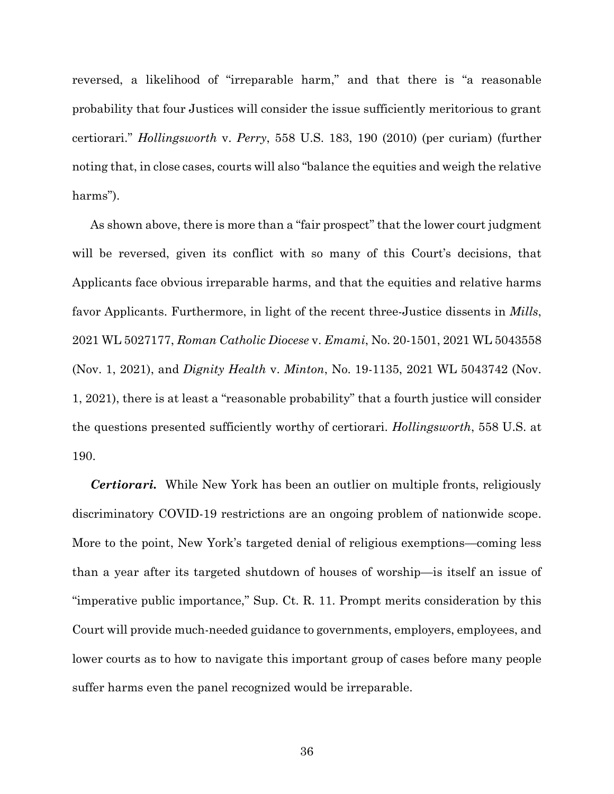reversed, a likelihood of "irreparable harm," and that there is "a reasonable probability that four Justices will consider the issue sufficiently meritorious to grant certiorari." *Hollingsworth* v. *Perry*, 558 U.S. 183, 190 (2010) (per curiam) (further noting that, in close cases, courts will also "balance the equities and weigh the relative harms").

As shown above, there is more than a "fair prospect" that the lower court judgment will be reversed, given its conflict with so many of this Court's decisions, that Applicants face obvious irreparable harms, and that the equities and relative harms favor Applicants. Furthermore, in light of the recent three-Justice dissents in *Mills*, 2021 WL 5027177, *Roman Catholic Diocese* v. *Emami*, No. 20-1501, 2021 WL 5043558 (Nov. 1, 2021), and *Dignity Health* v. *Minton*, No. 19-1135, 2021 WL 5043742 (Nov. 1, 2021), there is at least a "reasonable probability" that a fourth justice will consider the questions presented sufficiently worthy of certiorari. *Hollingsworth*, 558 U.S. at 190.

*Certiorari.* While New York has been an outlier on multiple fronts, religiously discriminatory COVID-19 restrictions are an ongoing problem of nationwide scope. More to the point, New York's targeted denial of religious exemptions—coming less than a year after its targeted shutdown of houses of worship—is itself an issue of "imperative public importance," Sup. Ct. R. 11. Prompt merits consideration by this Court will provide much-needed guidance to governments, employers, employees, and lower courts as to how to navigate this important group of cases before many people suffer harms even the panel recognized would be irreparable.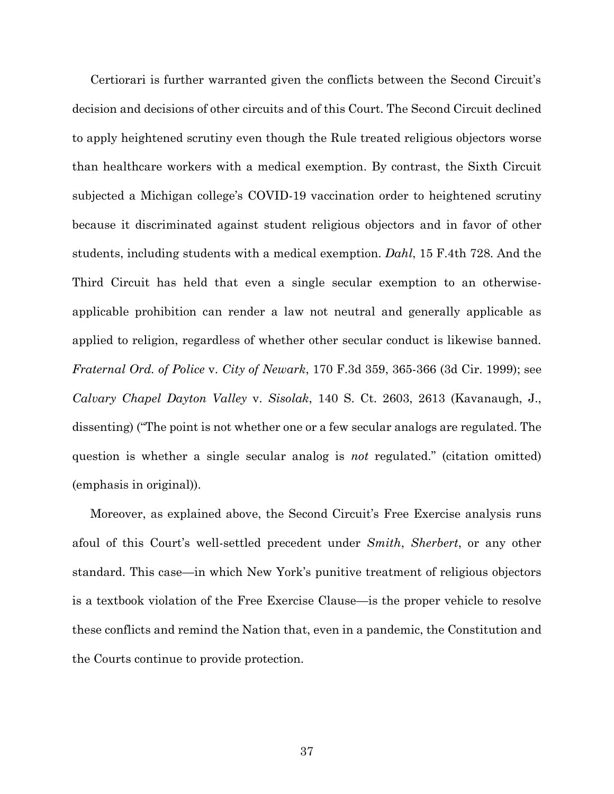Certiorari is further warranted given the conflicts between the Second Circuit's decision and decisions of other circuits and of this Court. The Second Circuit declined to apply heightened scrutiny even though the Rule treated religious objectors worse than healthcare workers with a medical exemption. By contrast, the Sixth Circuit subjected a Michigan college's COVID-19 vaccination order to heightened scrutiny because it discriminated against student religious objectors and in favor of other students, including students with a medical exemption. *Dahl*, 15 F.4th 728. And the Third Circuit has held that even a single secular exemption to an otherwiseapplicable prohibition can render a law not neutral and generally applicable as applied to religion, regardless of whether other secular conduct is likewise banned. *Fraternal Ord. of Police* v. *City of Newark*, 170 F.3d 359, 365-366 (3d Cir. 1999); see *Calvary Chapel Dayton Valley* v. *Sisolak*, 140 S. Ct. 2603, 2613 (Kavanaugh, J., dissenting) ("The point is not whether one or a few secular analogs are regulated. The question is whether a single secular analog is *not* regulated." (citation omitted) (emphasis in original)).

Moreover, as explained above, the Second Circuit's Free Exercise analysis runs afoul of this Court's well-settled precedent under *Smith*, *Sherbert*, or any other standard. This case—in which New York's punitive treatment of religious objectors is a textbook violation of the Free Exercise Clause—is the proper vehicle to resolve these conflicts and remind the Nation that, even in a pandemic, the Constitution and the Courts continue to provide protection.